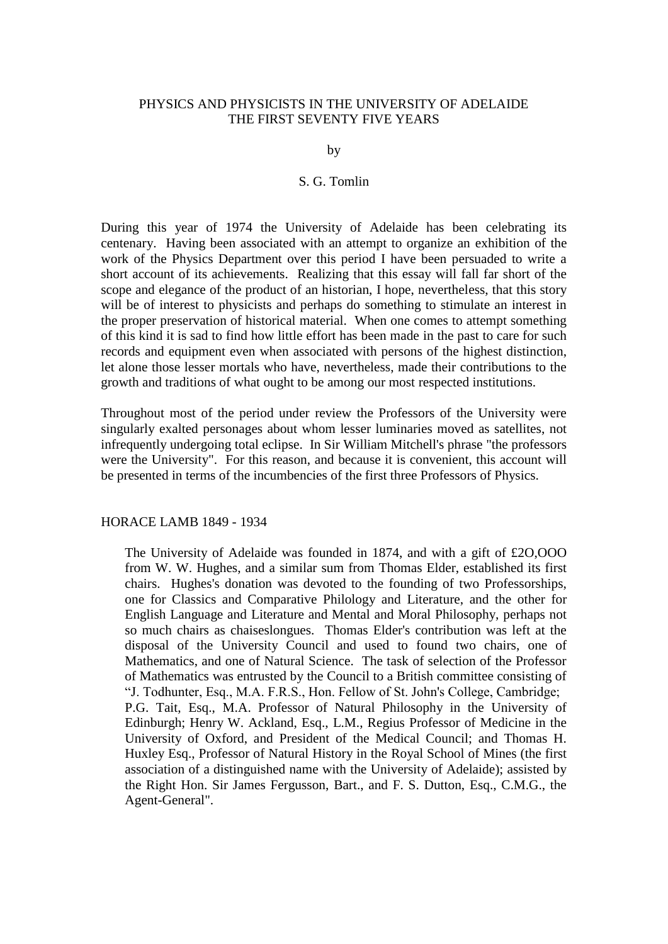# PHYSICS AND PHYSICISTS IN THE UNIVERSITY OF ADELAIDE THE FIRST SEVENTY FIVE YEARS

by

# S. G. Tomlin

During this year of 1974 the University of Adelaide has been celebrating its centenary. Having been associated with an attempt to organize an exhibition of the work of the Physics Department over this period I have been persuaded to write a short account of its achievements. Realizing that this essay will fall far short of the scope and elegance of the product of an historian, I hope, nevertheless, that this story will be of interest to physicists and perhaps do something to stimulate an interest in the proper preservation of historical material. When one comes to attempt something of this kind it is sad to find how little effort has been made in the past to care for such records and equipment even when associated with persons of the highest distinction, let alone those lesser mortals who have, nevertheless, made their contributions to the growth and traditions of what ought to be among our most respected institutions.

Throughout most of the period under review the Professors of the University were singularly exalted personages about whom lesser luminaries moved as satellites, not infrequently undergoing total eclipse. In Sir William Mitchell's phrase "the professors were the University". For this reason, and because it is convenient, this account will be presented in terms of the incumbencies of the first three Professors of Physics.

# HORACE LAMB 1849 - 1934

The University of Adelaide was founded in 1874, and with a gift of £2O,OOO from W. W. Hughes, and a similar sum from Thomas Elder, established its first chairs. Hughes's donation was devoted to the founding of two Professorships, one for Classics and Comparative Philology and Literature, and the other for English Language and Literature and Mental and Moral Philosophy, perhaps not so much chairs as chaiseslongues. Thomas Elder's contribution was left at the disposal of the University Council and used to found two chairs, one of Mathematics, and one of Natural Science. The task of selection of the Professor of Mathematics was entrusted by the Council to a British committee consisting of "J. Todhunter, Esq., M.A. F.R.S., Hon. Fellow of St. John's College, Cambridge; P.G. Tait, Esq., M.A. Professor of Natural Philosophy in the University of Edinburgh; Henry W. Ackland, Esq., L.M., Regius Professor of Medicine in the University of Oxford, and President of the Medical Council; and Thomas H. Huxley Esq., Professor of Natural History in the Royal School of Mines (the first association of a distinguished name with the University of Adelaide); assisted by the Right Hon. Sir James Fergusson, Bart., and F. S. Dutton, Esq., C.M.G., the Agent-General".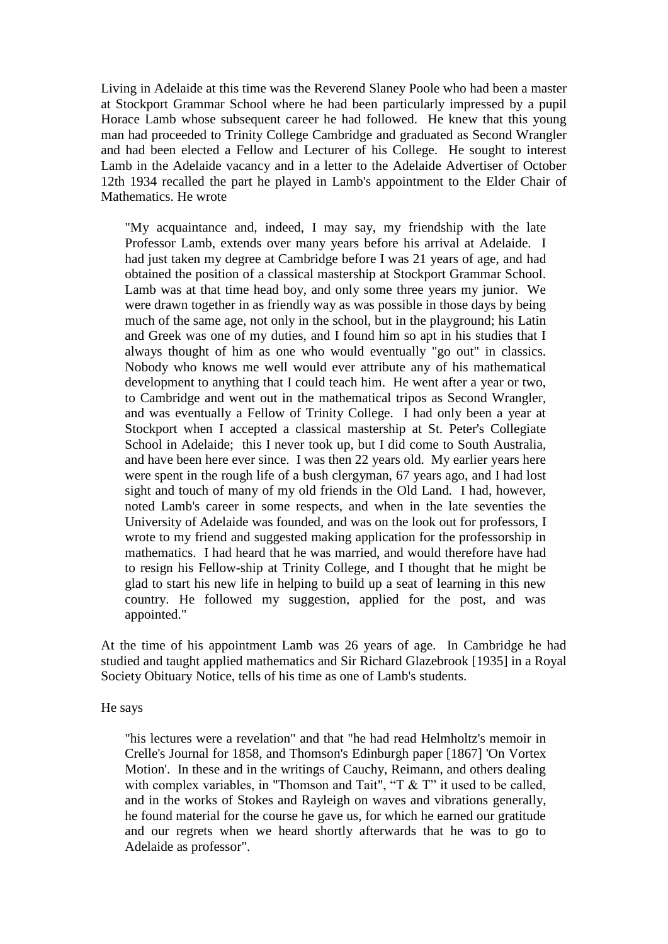Living in Adelaide at this time was the Reverend Slaney Poole who had been a master at Stockport Grammar School where he had been particularly impressed by a pupil Horace Lamb whose subsequent career he had followed. He knew that this young man had proceeded to Trinity College Cambridge and graduated as Second Wrangler and had been elected a Fellow and Lecturer of his College. He sought to interest Lamb in the Adelaide vacancy and in a letter to the Adelaide Advertiser of October 12th 1934 recalled the part he played in Lamb's appointment to the Elder Chair of Mathematics. He wrote

"My acquaintance and, indeed, I may say, my friendship with the late Professor Lamb, extends over many years before his arrival at Adelaide. I had just taken my degree at Cambridge before I was 21 years of age, and had obtained the position of a classical mastership at Stockport Grammar School. Lamb was at that time head boy, and only some three years my junior. We were drawn together in as friendly way as was possible in those days by being much of the same age, not only in the school, but in the playground; his Latin and Greek was one of my duties, and I found him so apt in his studies that I always thought of him as one who would eventually "go out" in classics. Nobody who knows me well would ever attribute any of his mathematical development to anything that I could teach him. He went after a year or two, to Cambridge and went out in the mathematical tripos as Second Wrangler, and was eventually a Fellow of Trinity College. I had only been a year at Stockport when I accepted a classical mastership at St. Peter's Collegiate School in Adelaide; this I never took up, but I did come to South Australia, and have been here ever since. I was then 22 years old. My earlier years here were spent in the rough life of a bush clergyman, 67 years ago, and I had lost sight and touch of many of my old friends in the Old Land. I had, however, noted Lamb's career in some respects, and when in the late seventies the University of Adelaide was founded, and was on the look out for professors, I wrote to my friend and suggested making application for the professorship in mathematics. I had heard that he was married, and would therefore have had to resign his Fellow-ship at Trinity College, and I thought that he might be glad to start his new life in helping to build up a seat of learning in this new country. He followed my suggestion, applied for the post, and was appointed."

At the time of his appointment Lamb was 26 years of age. In Cambridge he had studied and taught applied mathematics and Sir Richard Glazebrook [1935] in a Royal Society Obituary Notice, tells of his time as one of Lamb's students.

He says

"his lectures were a revelation" and that "he had read Helmholtz's memoir in Crelle's Journal for 1858, and Thomson's Edinburgh paper [1867] 'On Vortex Motion'. In these and in the writings of Cauchy, Reimann, and others dealing with complex variables, in "Thomson and Tait", "T  $&$  T" it used to be called, and in the works of Stokes and Rayleigh on waves and vibrations generally, he found material for the course he gave us, for which he earned our gratitude and our regrets when we heard shortly afterwards that he was to go to Adelaide as professor".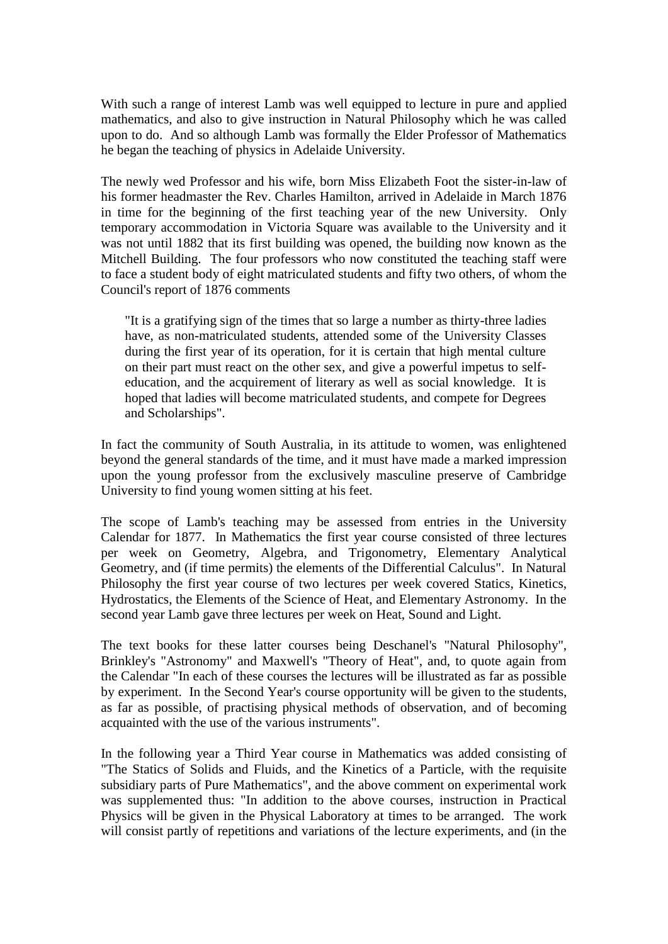With such a range of interest Lamb was well equipped to lecture in pure and applied mathematics, and also to give instruction in Natural Philosophy which he was called upon to do. And so although Lamb was formally the Elder Professor of Mathematics he began the teaching of physics in Adelaide University.

The newly wed Professor and his wife, born Miss Elizabeth Foot the sister-in-law of his former headmaster the Rev. Charles Hamilton, arrived in Adelaide in March 1876 in time for the beginning of the first teaching year of the new University. Only temporary accommodation in Victoria Square was available to the University and it was not until 1882 that its first building was opened, the building now known as the Mitchell Building. The four professors who now constituted the teaching staff were to face a student body of eight matriculated students and fifty two others, of whom the Council's report of 1876 comments

"It is a gratifying sign of the times that so large a number as thirty-three ladies have, as non-matriculated students, attended some of the University Classes during the first year of its operation, for it is certain that high mental culture on their part must react on the other sex, and give a powerful impetus to selfeducation, and the acquirement of literary as well as social knowledge. It is hoped that ladies will become matriculated students, and compete for Degrees and Scholarships".

In fact the community of South Australia, in its attitude to women, was enlightened beyond the general standards of the time, and it must have made a marked impression upon the young professor from the exclusively masculine preserve of Cambridge University to find young women sitting at his feet.

The scope of Lamb's teaching may be assessed from entries in the University Calendar for 1877. In Mathematics the first year course consisted of three lectures per week on Geometry, Algebra, and Trigonometry, Elementary Analytical Geometry, and (if time permits) the elements of the Differential Calculus". In Natural Philosophy the first year course of two lectures per week covered Statics, Kinetics, Hydrostatics, the Elements of the Science of Heat, and Elementary Astronomy. In the second year Lamb gave three lectures per week on Heat, Sound and Light.

The text books for these latter courses being Deschanel's "Natural Philosophy", Brinkley's "Astronomy" and Maxwell's "Theory of Heat", and, to quote again from the Calendar "In each of these courses the lectures will be illustrated as far as possible by experiment. In the Second Year's course opportunity will be given to the students, as far as possible, of practising physical methods of observation, and of becoming acquainted with the use of the various instruments".

In the following year a Third Year course in Mathematics was added consisting of "The Statics of Solids and Fluids, and the Kinetics of a Particle, with the requisite subsidiary parts of Pure Mathematics", and the above comment on experimental work was supplemented thus: "In addition to the above courses, instruction in Practical Physics will be given in the Physical Laboratory at times to be arranged. The work will consist partly of repetitions and variations of the lecture experiments, and (in the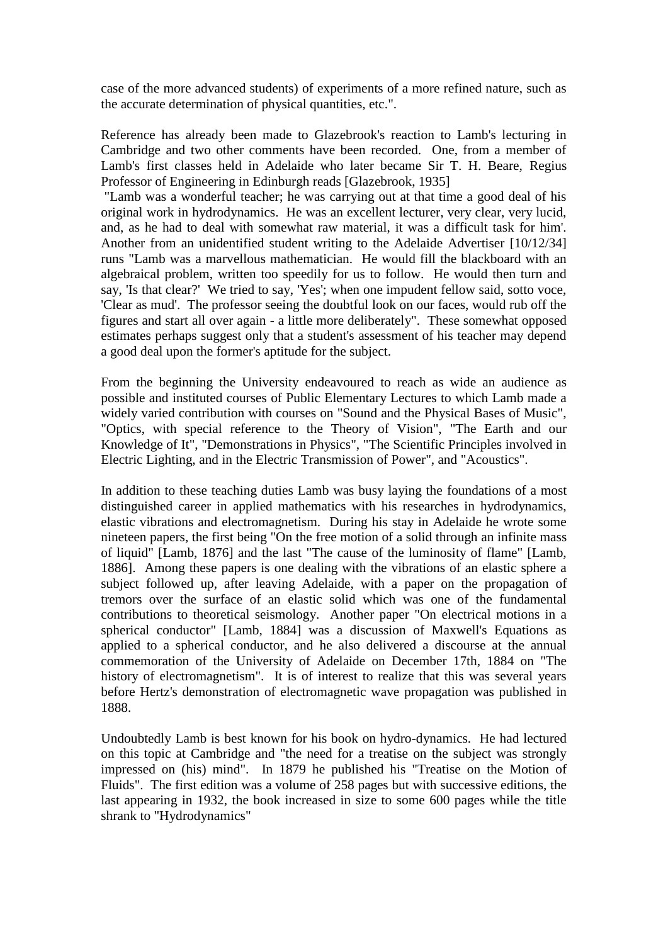case of the more advanced students) of experiments of a more refined nature, such as the accurate determination of physical quantities, etc.".

Reference has already been made to Glazebrook's reaction to Lamb's lecturing in Cambridge and two other comments have been recorded. One, from a member of Lamb's first classes held in Adelaide who later became Sir T. H. Beare, Regius Professor of Engineering in Edinburgh reads [Glazebrook, 1935]

"Lamb was a wonderful teacher; he was carrying out at that time a good deal of his original work in hydrodynamics. He was an excellent lecturer, very clear, very lucid, and, as he had to deal with somewhat raw material, it was a difficult task for him'. Another from an unidentified student writing to the Adelaide Advertiser [10/12/34] runs "Lamb was a marvellous mathematician. He would fill the blackboard with an algebraical problem, written too speedily for us to follow. He would then turn and say, 'Is that clear?' We tried to say, 'Yes'; when one impudent fellow said, sotto voce, 'Clear as mud'. The professor seeing the doubtful look on our faces, would rub off the figures and start all over again - a little more deliberately". These somewhat opposed estimates perhaps suggest only that a student's assessment of his teacher may depend a good deal upon the former's aptitude for the subject.

From the beginning the University endeavoured to reach as wide an audience as possible and instituted courses of Public Elementary Lectures to which Lamb made a widely varied contribution with courses on "Sound and the Physical Bases of Music", "Optics, with special reference to the Theory of Vision", "The Earth and our Knowledge of It", "Demonstrations in Physics", "The Scientific Principles involved in Electric Lighting, and in the Electric Transmission of Power", and "Acoustics".

In addition to these teaching duties Lamb was busy laying the foundations of a most distinguished career in applied mathematics with his researches in hydrodynamics, elastic vibrations and electromagnetism. During his stay in Adelaide he wrote some nineteen papers, the first being "On the free motion of a solid through an infinite mass of liquid" [Lamb, 1876] and the last "The cause of the luminosity of flame" [Lamb, 1886]. Among these papers is one dealing with the vibrations of an elastic sphere a subject followed up, after leaving Adelaide, with a paper on the propagation of tremors over the surface of an elastic solid which was one of the fundamental contributions to theoretical seismology. Another paper "On electrical motions in a spherical conductor" [Lamb, 1884] was a discussion of Maxwell's Equations as applied to a spherical conductor, and he also delivered a discourse at the annual commemoration of the University of Adelaide on December 17th, 1884 on "The history of electromagnetism". It is of interest to realize that this was several years before Hertz's demonstration of electromagnetic wave propagation was published in 1888.

Undoubtedly Lamb is best known for his book on hydro-dynamics. He had lectured on this topic at Cambridge and "the need for a treatise on the subject was strongly impressed on (his) mind". In 1879 he published his "Treatise on the Motion of Fluids". The first edition was a volume of 258 pages but with successive editions, the last appearing in 1932, the book increased in size to some 600 pages while the title shrank to "Hydrodynamics"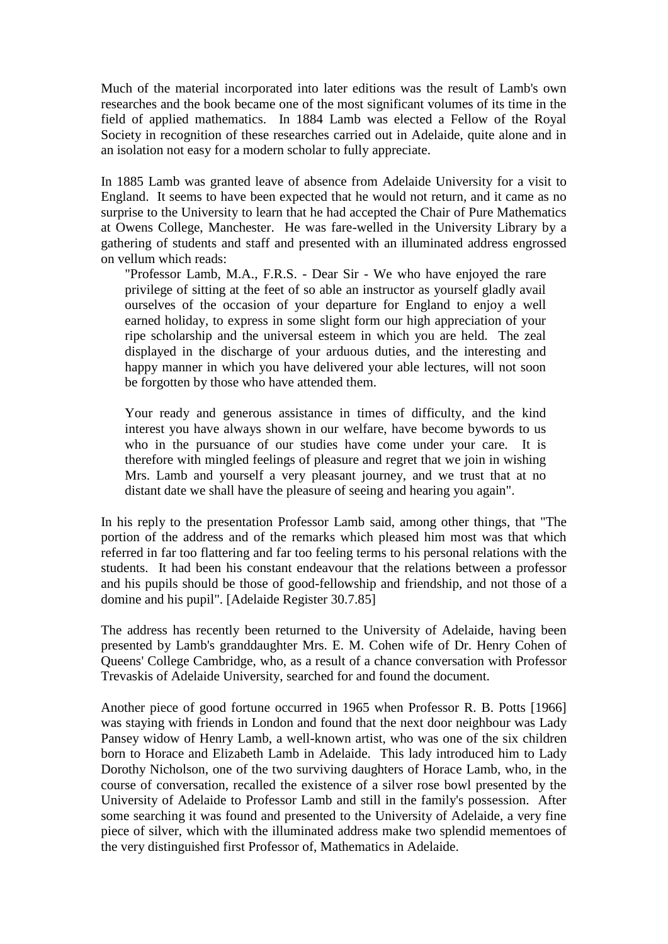Much of the material incorporated into later editions was the result of Lamb's own researches and the book became one of the most significant volumes of its time in the field of applied mathematics. In 1884 Lamb was elected a Fellow of the Royal Society in recognition of these researches carried out in Adelaide, quite alone and in an isolation not easy for a modern scholar to fully appreciate.

In 1885 Lamb was granted leave of absence from Adelaide University for a visit to England. It seems to have been expected that he would not return, and it came as no surprise to the University to learn that he had accepted the Chair of Pure Mathematics at Owens College, Manchester. He was fare-welled in the University Library by a gathering of students and staff and presented with an illuminated address engrossed on vellum which reads:

"Professor Lamb, M.A., F.R.S. - Dear Sir - We who have enjoyed the rare privilege of sitting at the feet of so able an instructor as yourself gladly avail ourselves of the occasion of your departure for England to enjoy a well earned holiday, to express in some slight form our high appreciation of your ripe scholarship and the universal esteem in which you are held. The zeal displayed in the discharge of your arduous duties, and the interesting and happy manner in which you have delivered your able lectures, will not soon be forgotten by those who have attended them.

Your ready and generous assistance in times of difficulty, and the kind interest you have always shown in our welfare, have become bywords to us who in the pursuance of our studies have come under your care. It is therefore with mingled feelings of pleasure and regret that we join in wishing Mrs. Lamb and yourself a very pleasant journey, and we trust that at no distant date we shall have the pleasure of seeing and hearing you again".

In his reply to the presentation Professor Lamb said, among other things, that "The portion of the address and of the remarks which pleased him most was that which referred in far too flattering and far too feeling terms to his personal relations with the students. It had been his constant endeavour that the relations between a professor and his pupils should be those of good-fellowship and friendship, and not those of a domine and his pupil". [Adelaide Register 30.7.85]

The address has recently been returned to the University of Adelaide, having been presented by Lamb's granddaughter Mrs. E. M. Cohen wife of Dr. Henry Cohen of Queens' College Cambridge, who, as a result of a chance conversation with Professor Trevaskis of Adelaide University, searched for and found the document.

Another piece of good fortune occurred in 1965 when Professor R. B. Potts [1966] was staying with friends in London and found that the next door neighbour was Lady Pansey widow of Henry Lamb, a well-known artist, who was one of the six children born to Horace and Elizabeth Lamb in Adelaide. This lady introduced him to Lady Dorothy Nicholson, one of the two surviving daughters of Horace Lamb, who, in the course of conversation, recalled the existence of a silver rose bowl presented by the University of Adelaide to Professor Lamb and still in the family's possession. After some searching it was found and presented to the University of Adelaide, a very fine piece of silver, which with the illuminated address make two splendid mementoes of the very distinguished first Professor of, Mathematics in Adelaide.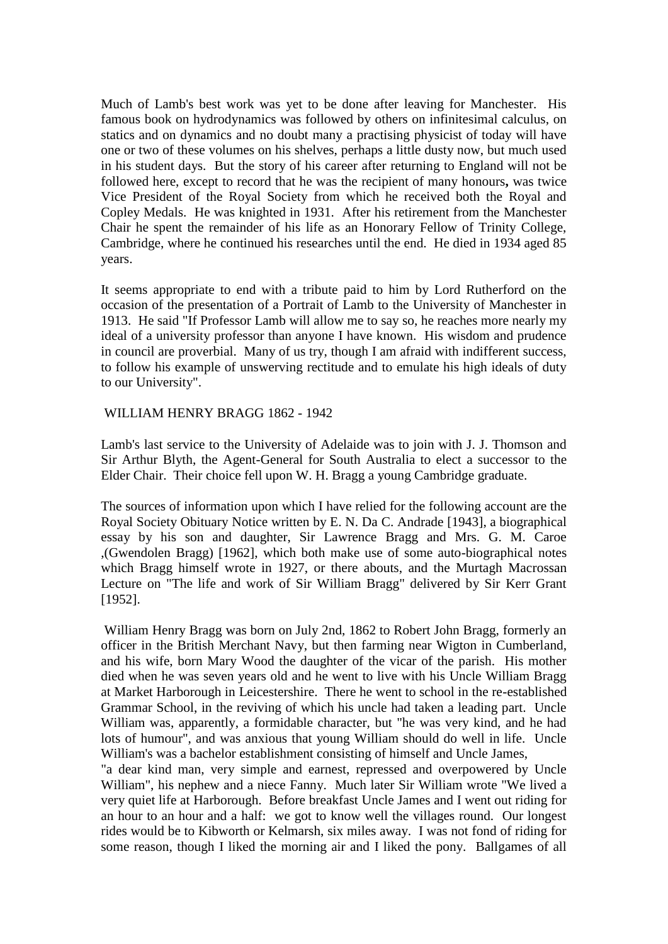Much of Lamb's best work was yet to be done after leaving for Manchester. His famous book on hydrodynamics was followed by others on infinitesimal calculus, on statics and on dynamics and no doubt many a practising physicist of today will have one or two of these volumes on his shelves, perhaps a little dusty now, but much used in his student days. But the story of his career after returning to England will not be followed here, except to record that he was the recipient of many honours**,** was twice Vice President of the Royal Society from which he received both the Royal and Copley Medals. He was knighted in 1931. After his retirement from the Manchester Chair he spent the remainder of his life as an Honorary Fellow of Trinity College, Cambridge, where he continued his researches until the end. He died in 1934 aged 85 years.

It seems appropriate to end with a tribute paid to him by Lord Rutherford on the occasion of the presentation of a Portrait of Lamb to the University of Manchester in 1913. He said "If Professor Lamb will allow me to say so, he reaches more nearly my ideal of a university professor than anyone I have known. His wisdom and prudence in council are proverbial. Many of us try, though I am afraid with indifferent success, to follow his example of unswerving rectitude and to emulate his high ideals of duty to our University".

# WILLIAM HENRY BRAGG 1862 - 1942

Lamb's last service to the University of Adelaide was to join with J. J. Thomson and Sir Arthur Blyth, the Agent-General for South Australia to elect a successor to the Elder Chair. Their choice fell upon W. H. Bragg a young Cambridge graduate.

The sources of information upon which I have relied for the following account are the Royal Society Obituary Notice written by E. N. Da C. Andrade [1943], a biographical essay by his son and daughter, Sir Lawrence Bragg and Mrs. G. M. Caroe ,(Gwendolen Bragg) [1962], which both make use of some auto-biographical notes which Bragg himself wrote in 1927, or there abouts, and the Murtagh Macrossan Lecture on "The life and work of Sir William Bragg" delivered by Sir Kerr Grant [1952].

William Henry Bragg was born on July 2nd, 1862 to Robert John Bragg, formerly an officer in the British Merchant Navy, but then farming near Wigton in Cumberland, and his wife, born Mary Wood the daughter of the vicar of the parish. His mother died when he was seven years old and he went to live with his Uncle William Bragg at Market Harborough in Leicestershire. There he went to school in the re-established Grammar School, in the reviving of which his uncle had taken a leading part. Uncle William was, apparently, a formidable character, but "he was very kind, and he had lots of humour", and was anxious that young William should do well in life. Uncle William's was a bachelor establishment consisting of himself and Uncle James,

"a dear kind man, very simple and earnest, repressed and overpowered by Uncle William", his nephew and a niece Fanny. Much later Sir William wrote "We lived a very quiet life at Harborough. Before breakfast Uncle James and I went out riding for an hour to an hour and a half: we got to know well the villages round. Our longest rides would be to Kibworth or Kelmarsh, six miles away. I was not fond of riding for some reason, though I liked the morning air and I liked the pony. Ballgames of all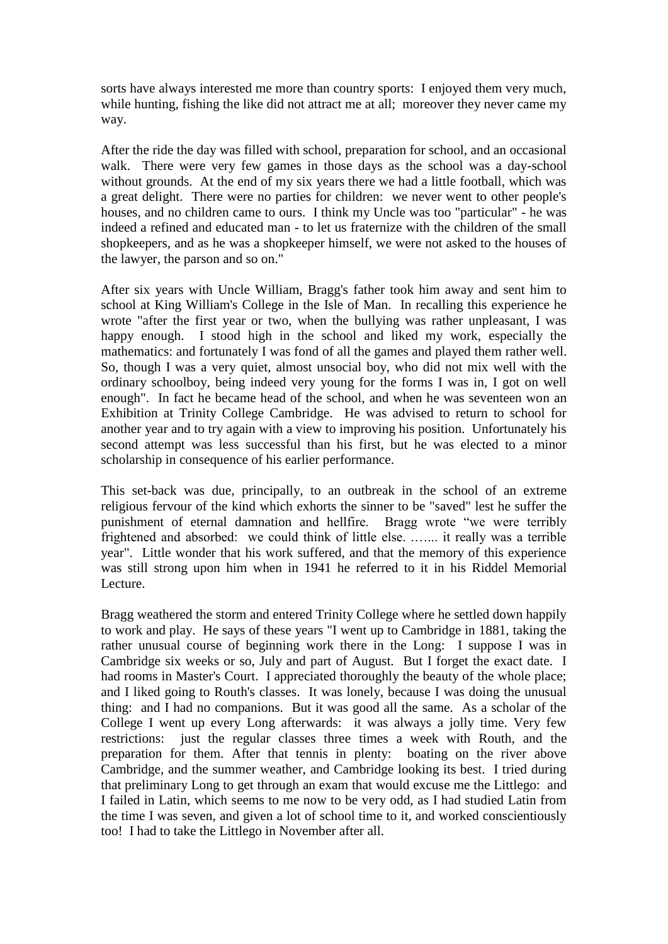sorts have always interested me more than country sports: I enjoyed them very much, while hunting, fishing the like did not attract me at all; moreover they never came my way.

After the ride the day was filled with school, preparation for school, and an occasional walk. There were very few games in those days as the school was a day-school without grounds. At the end of my six years there we had a little football, which was a great delight. There were no parties for children: we never went to other people's houses, and no children came to ours. I think my Uncle was too "particular" - he was indeed a refined and educated man - to let us fraternize with the children of the small shopkeepers, and as he was a shopkeeper himself, we were not asked to the houses of the lawyer, the parson and so on."

After six years with Uncle William, Bragg's father took him away and sent him to school at King William's College in the Isle of Man. In recalling this experience he wrote "after the first year or two, when the bullying was rather unpleasant, I was happy enough. I stood high in the school and liked my work, especially the mathematics: and fortunately I was fond of all the games and played them rather well. So, though I was a very quiet, almost unsocial boy, who did not mix well with the ordinary schoolboy, being indeed very young for the forms I was in, I got on well enough". In fact he became head of the school, and when he was seventeen won an Exhibition at Trinity College Cambridge. He was advised to return to school for another year and to try again with a view to improving his position. Unfortunately his second attempt was less successful than his first, but he was elected to a minor scholarship in consequence of his earlier performance.

This set-back was due, principally, to an outbreak in the school of an extreme religious fervour of the kind which exhorts the sinner to be "saved" lest he suffer the punishment of eternal damnation and hellfire. Bragg wrote "we were terribly frightened and absorbed: we could think of little else. .…... it really was a terrible year". Little wonder that his work suffered, and that the memory of this experience was still strong upon him when in 1941 he referred to it in his Riddel Memorial Lecture.

Bragg weathered the storm and entered Trinity College where he settled down happily to work and play. He says of these years "I went up to Cambridge in 1881, taking the rather unusual course of beginning work there in the Long: I suppose I was in Cambridge six weeks or so, July and part of August. But I forget the exact date. I had rooms in Master's Court. I appreciated thoroughly the beauty of the whole place; and I liked going to Routh's classes. It was lonely, because I was doing the unusual thing: and I had no companions. But it was good all the same. As a scholar of the College I went up every Long afterwards: it was always a jolly time. Very few restrictions: just the regular classes three times a week with Routh, and the preparation for them. After that tennis in plenty: boating on the river above Cambridge, and the summer weather, and Cambridge looking its best. I tried during that preliminary Long to get through an exam that would excuse me the Littlego: and I failed in Latin, which seems to me now to be very odd, as I had studied Latin from the time I was seven, and given a lot of school time to it, and worked conscientiously too! I had to take the Littlego in November after all.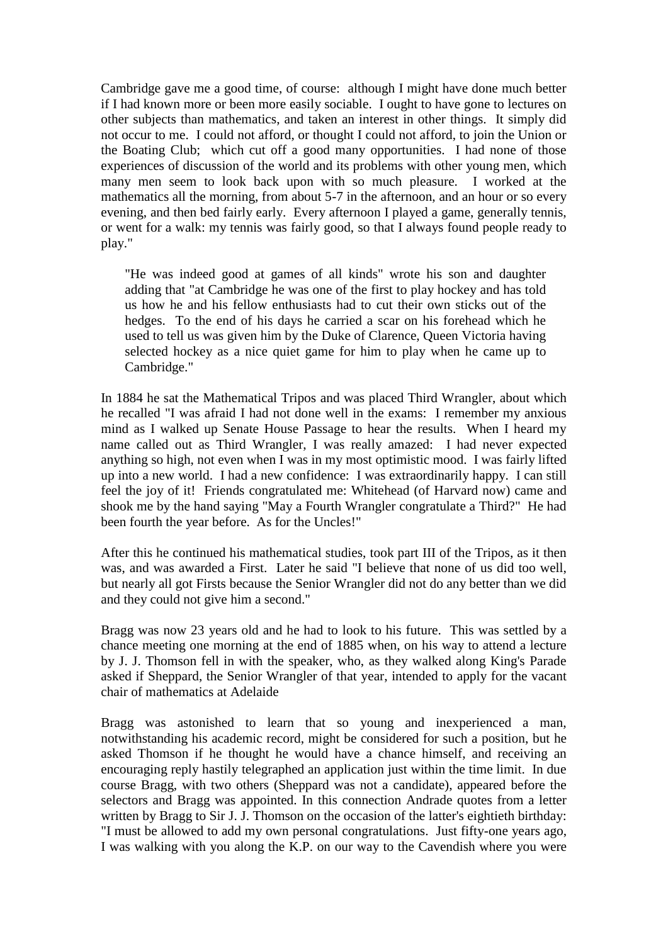Cambridge gave me a good time, of course: although I might have done much better if I had known more or been more easily sociable. I ought to have gone to lectures on other subjects than mathematics, and taken an interest in other things. It simply did not occur to me. I could not afford, or thought I could not afford, to join the Union or the Boating Club; which cut off a good many opportunities. I had none of those experiences of discussion of the world and its problems with other young men, which many men seem to look back upon with so much pleasure. I worked at the mathematics all the morning, from about 5-7 in the afternoon, and an hour or so every evening, and then bed fairly early. Every afternoon I played a game, generally tennis, or went for a walk: my tennis was fairly good, so that I always found people ready to play."

"He was indeed good at games of all kinds" wrote his son and daughter adding that "at Cambridge he was one of the first to play hockey and has told us how he and his fellow enthusiasts had to cut their own sticks out of the hedges. To the end of his days he carried a scar on his forehead which he used to tell us was given him by the Duke of Clarence, Queen Victoria having selected hockey as a nice quiet game for him to play when he came up to Cambridge."

In 1884 he sat the Mathematical Tripos and was placed Third Wrangler, about which he recalled "I was afraid I had not done well in the exams: I remember my anxious mind as I walked up Senate House Passage to hear the results. When I heard my name called out as Third Wrangler, I was really amazed: I had never expected anything so high, not even when I was in my most optimistic mood. I was fairly lifted up into a new world. I had a new confidence: I was extraordinarily happy. I can still feel the joy of it! Friends congratulated me: Whitehead (of Harvard now) came and shook me by the hand saying "May a Fourth Wrangler congratulate a Third?" He had been fourth the year before. As for the Uncles!"

After this he continued his mathematical studies, took part III of the Tripos, as it then was, and was awarded a First. Later he said "I believe that none of us did too well, but nearly all got Firsts because the Senior Wrangler did not do any better than we did and they could not give him a second."

Bragg was now 23 years old and he had to look to his future. This was settled by a chance meeting one morning at the end of 1885 when, on his way to attend a lecture by J. J. Thomson fell in with the speaker, who, as they walked along King's Parade asked if Sheppard, the Senior Wrangler of that year, intended to apply for the vacant chair of mathematics at Adelaide

Bragg was astonished to learn that so young and inexperienced a man, notwithstanding his academic record, might be considered for such a position, but he asked Thomson if he thought he would have a chance himself, and receiving an encouraging reply hastily telegraphed an application just within the time limit. In due course Bragg, with two others (Sheppard was not a candidate), appeared before the selectors and Bragg was appointed. In this connection Andrade quotes from a letter written by Bragg to Sir J. J. Thomson on the occasion of the latter's eightieth birthday: "I must be allowed to add my own personal congratulations. Just fifty-one years ago, I was walking with you along the K.P. on our way to the Cavendish where you were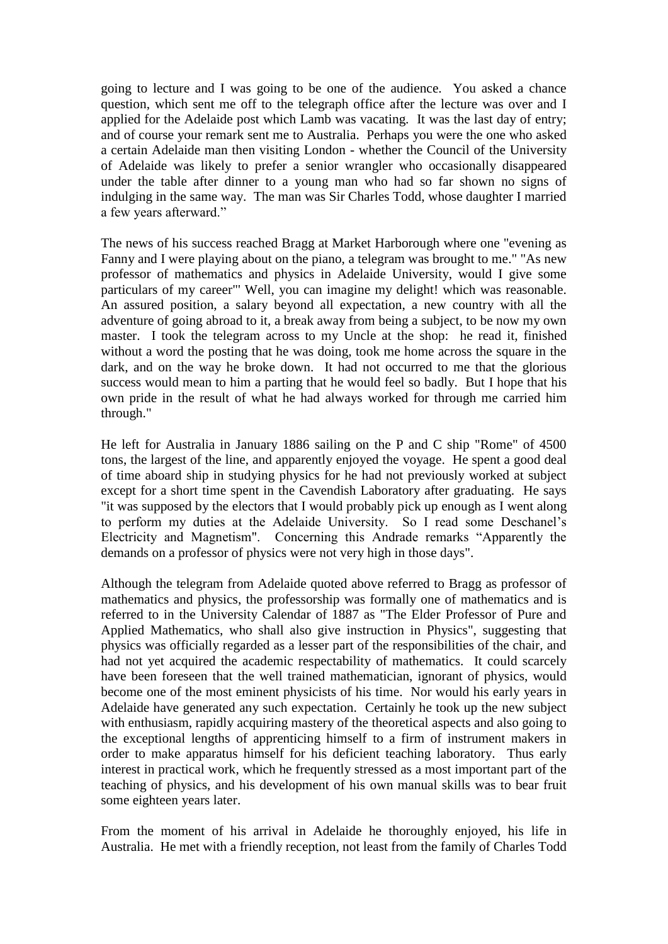going to lecture and I was going to be one of the audience. You asked a chance question, which sent me off to the telegraph office after the lecture was over and I applied for the Adelaide post which Lamb was vacating. It was the last day of entry; and of course your remark sent me to Australia. Perhaps you were the one who asked a certain Adelaide man then visiting London - whether the Council of the University of Adelaide was likely to prefer a senior wrangler who occasionally disappeared under the table after dinner to a young man who had so far shown no signs of indulging in the same way. The man was Sir Charles Todd, whose daughter I married a few years afterward."

The news of his success reached Bragg at Market Harborough where one "evening as Fanny and I were playing about on the piano, a telegram was brought to me." "As new professor of mathematics and physics in Adelaide University, would I give some particulars of my career"' Well, you can imagine my delight! which was reasonable. An assured position, a salary beyond all expectation, a new country with all the adventure of going abroad to it, a break away from being a subject, to be now my own master. I took the telegram across to my Uncle at the shop: he read it, finished without a word the posting that he was doing, took me home across the square in the dark, and on the way he broke down. It had not occurred to me that the glorious success would mean to him a parting that he would feel so badly. But I hope that his own pride in the result of what he had always worked for through me carried him through."

He left for Australia in January 1886 sailing on the P and C ship "Rome" of 4500 tons, the largest of the line, and apparently enjoyed the voyage. He spent a good deal of time aboard ship in studying physics for he had not previously worked at subject except for a short time spent in the Cavendish Laboratory after graduating. He says "it was supposed by the electors that I would probably pick up enough as I went along to perform my duties at the Adelaide University. So I read some Deschanel"s Electricity and Magnetism". Concerning this Andrade remarks "Apparently the demands on a professor of physics were not very high in those days".

Although the telegram from Adelaide quoted above referred to Bragg as professor of mathematics and physics, the professorship was formally one of mathematics and is referred to in the University Calendar of 1887 as "The Elder Professor of Pure and Applied Mathematics, who shall also give instruction in Physics", suggesting that physics was officially regarded as a lesser part of the responsibilities of the chair, and had not yet acquired the academic respectability of mathematics. It could scarcely have been foreseen that the well trained mathematician, ignorant of physics, would become one of the most eminent physicists of his time. Nor would his early years in Adelaide have generated any such expectation. Certainly he took up the new subject with enthusiasm, rapidly acquiring mastery of the theoretical aspects and also going to the exceptional lengths of apprenticing himself to a firm of instrument makers in order to make apparatus himself for his deficient teaching laboratory. Thus early interest in practical work, which he frequently stressed as a most important part of the teaching of physics, and his development of his own manual skills was to bear fruit some eighteen years later.

From the moment of his arrival in Adelaide he thoroughly enjoyed, his life in Australia. He met with a friendly reception, not least from the family of Charles Todd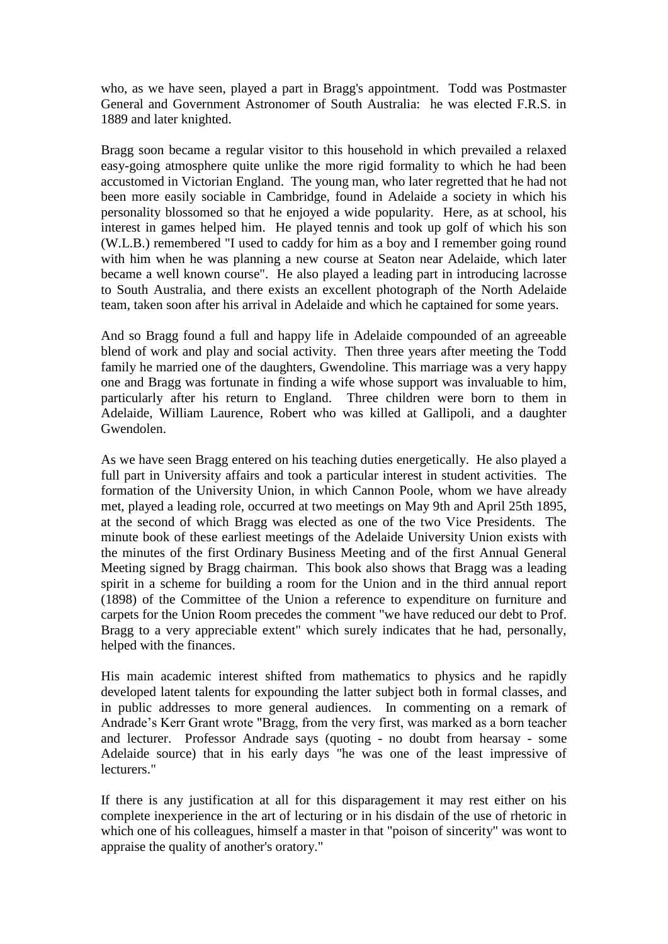who, as we have seen, played a part in Bragg's appointment. Todd was Postmaster General and Government Astronomer of South Australia: he was elected F.R.S. in 1889 and later knighted.

Bragg soon became a regular visitor to this household in which prevailed a relaxed easy-going atmosphere quite unlike the more rigid formality to which he had been accustomed in Victorian England. The young man, who later regretted that he had not been more easily sociable in Cambridge, found in Adelaide a society in which his personality blossomed so that he enjoyed a wide popularity. Here, as at school, his interest in games helped him. He played tennis and took up golf of which his son (W.L.B.) remembered "I used to caddy for him as a boy and I remember going round with him when he was planning a new course at Seaton near Adelaide, which later became a well known course". He also played a leading part in introducing lacrosse to South Australia, and there exists an excellent photograph of the North Adelaide team, taken soon after his arrival in Adelaide and which he captained for some years.

And so Bragg found a full and happy life in Adelaide compounded of an agreeable blend of work and play and social activity. Then three years after meeting the Todd family he married one of the daughters, Gwendoline. This marriage was a very happy one and Bragg was fortunate in finding a wife whose support was invaluable to him, particularly after his return to England. Three children were born to them in Adelaide, William Laurence, Robert who was killed at Gallipoli, and a daughter Gwendolen.

As we have seen Bragg entered on his teaching duties energetically. He also played a full part in University affairs and took a particular interest in student activities. The formation of the University Union, in which Cannon Poole, whom we have already met, played a leading role, occurred at two meetings on May 9th and April 25th 1895, at the second of which Bragg was elected as one of the two Vice Presidents. The minute book of these earliest meetings of the Adelaide University Union exists with the minutes of the first Ordinary Business Meeting and of the first Annual General Meeting signed by Bragg chairman. This book also shows that Bragg was a leading spirit in a scheme for building a room for the Union and in the third annual report (1898) of the Committee of the Union a reference to expenditure on furniture and carpets for the Union Room precedes the comment "we have reduced our debt to Prof. Bragg to a very appreciable extent" which surely indicates that he had, personally, helped with the finances.

His main academic interest shifted from mathematics to physics and he rapidly developed latent talents for expounding the latter subject both in formal classes, and in public addresses to more general audiences. In commenting on a remark of Andrade"s Kerr Grant wrote "Bragg, from the very first, was marked as a born teacher and lecturer. Professor Andrade says (quoting - no doubt from hearsay - some Adelaide source) that in his early days "he was one of the least impressive of lecturers."

If there is any justification at all for this disparagement it may rest either on his complete inexperience in the art of lecturing or in his disdain of the use of rhetoric in which one of his colleagues, himself a master in that "poison of sincerity" was wont to appraise the quality of another's oratory."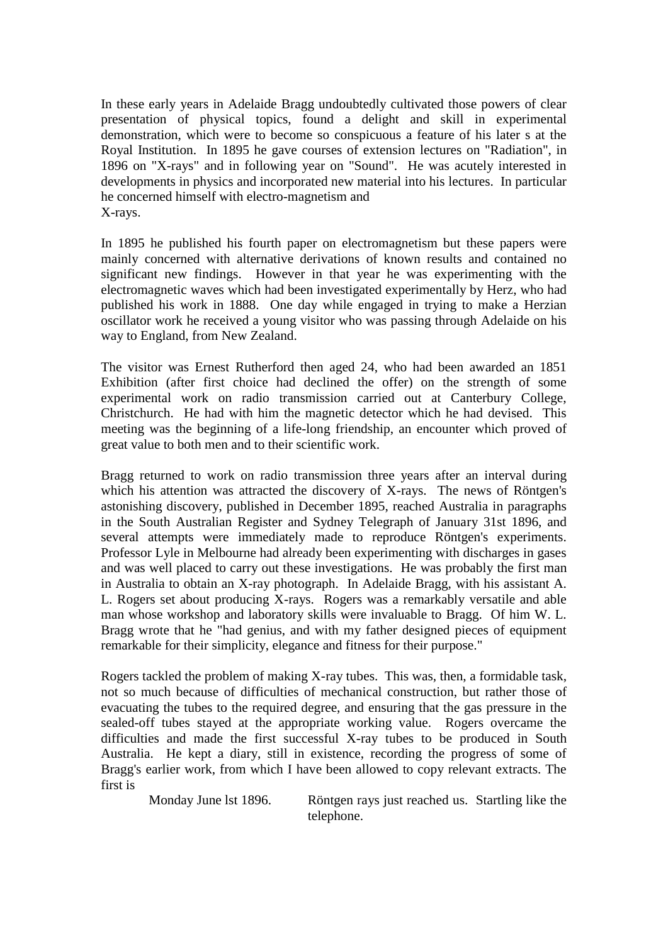In these early years in Adelaide Bragg undoubtedly cultivated those powers of clear presentation of physical topics, found a delight and skill in experimental demonstration, which were to become so conspicuous a feature of his later s at the Royal Institution. In 1895 he gave courses of extension lectures on "Radiation", in 1896 on "X-rays" and in following year on "Sound". He was acutely interested in developments in physics and incorporated new material into his lectures. In particular he concerned himself with electro-magnetism and X-rays.

In 1895 he published his fourth paper on electromagnetism but these papers were mainly concerned with alternative derivations of known results and contained no significant new findings. However in that year he was experimenting with the electromagnetic waves which had been investigated experimentally by Herz, who had published his work in 1888. One day while engaged in trying to make a Herzian oscillator work he received a young visitor who was passing through Adelaide on his way to England, from New Zealand.

The visitor was Ernest Rutherford then aged 24, who had been awarded an 1851 Exhibition (after first choice had declined the offer) on the strength of some experimental work on radio transmission carried out at Canterbury College, Christchurch. He had with him the magnetic detector which he had devised. This meeting was the beginning of a life-long friendship, an encounter which proved of great value to both men and to their scientific work.

Bragg returned to work on radio transmission three years after an interval during which his attention was attracted the discovery of X-rays. The news of Röntgen's astonishing discovery, published in December 1895, reached Australia in paragraphs in the South Australian Register and Sydney Telegraph of January 31st 1896, and several attempts were immediately made to reproduce Röntgen's experiments. Professor Lyle in Melbourne had already been experimenting with discharges in gases and was well placed to carry out these investigations. He was probably the first man in Australia to obtain an X-ray photograph. In Adelaide Bragg, with his assistant A. L. Rogers set about producing X-rays. Rogers was a remarkably versatile and able man whose workshop and laboratory skills were invaluable to Bragg. Of him W. L. Bragg wrote that he "had genius, and with my father designed pieces of equipment remarkable for their simplicity, elegance and fitness for their purpose."

Rogers tackled the problem of making X-ray tubes. This was, then, a formidable task, not so much because of difficulties of mechanical construction, but rather those of evacuating the tubes to the required degree, and ensuring that the gas pressure in the sealed-off tubes stayed at the appropriate working value. Rogers overcame the difficulties and made the first successful X-ray tubes to be produced in South Australia. He kept a diary, still in existence, recording the progress of some of Bragg's earlier work, from which I have been allowed to copy relevant extracts. The first is

Monday June lst 1896. Röntgen rays just reached us. Startling like the telephone.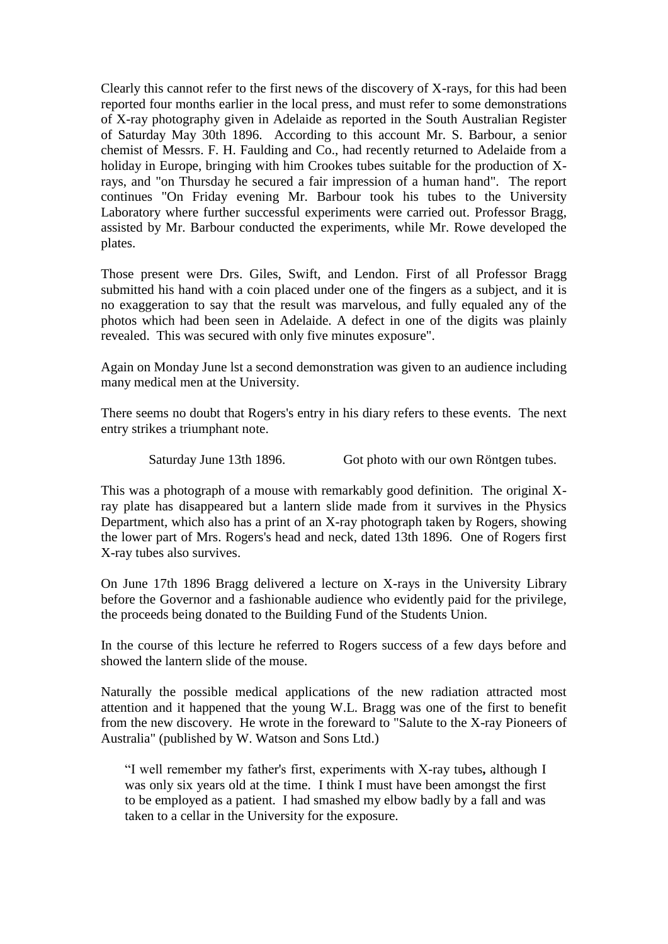Clearly this cannot refer to the first news of the discovery of X-rays, for this had been reported four months earlier in the local press, and must refer to some demonstrations of X-ray photography given in Adelaide as reported in the South Australian Register of Saturday May 30th 1896. According to this account Mr. S. Barbour, a senior chemist of Messrs. F. H. Faulding and Co., had recently returned to Adelaide from a holiday in Europe, bringing with him Crookes tubes suitable for the production of Xrays, and "on Thursday he secured a fair impression of a human hand". The report continues "On Friday evening Mr. Barbour took his tubes to the University Laboratory where further successful experiments were carried out. Professor Bragg, assisted by Mr. Barbour conducted the experiments, while Mr. Rowe developed the plates.

Those present were Drs. Giles, Swift, and Lendon. First of all Professor Bragg submitted his hand with a coin placed under one of the fingers as a subject, and it is no exaggeration to say that the result was marvelous, and fully equaled any of the photos which had been seen in Adelaide. A defect in one of the digits was plainly revealed. This was secured with only five minutes exposure".

Again on Monday June lst a second demonstration was given to an audience including many medical men at the University.

There seems no doubt that Rogers's entry in his diary refers to these events. The next entry strikes a triumphant note.

Saturday June 13th 1896. Got photo with our own Röntgen tubes.

This was a photograph of a mouse with remarkably good definition. The original Xray plate has disappeared but a lantern slide made from it survives in the Physics Department, which also has a print of an X-ray photograph taken by Rogers, showing the lower part of Mrs. Rogers's head and neck, dated 13th 1896. One of Rogers first X-ray tubes also survives.

On June 17th 1896 Bragg delivered a lecture on X-rays in the University Library before the Governor and a fashionable audience who evidently paid for the privilege, the proceeds being donated to the Building Fund of the Students Union.

In the course of this lecture he referred to Rogers success of a few days before and showed the lantern slide of the mouse.

Naturally the possible medical applications of the new radiation attracted most attention and it happened that the young W.L. Bragg was one of the first to benefit from the new discovery. He wrote in the foreward to "Salute to the X-ray Pioneers of Australia" (published by W. Watson and Sons Ltd.)

"I well remember my father's first, experiments with X-ray tubes**,** although I was only six years old at the time. I think I must have been amongst the first to be employed as a patient. I had smashed my elbow badly by a fall and was taken to a cellar in the University for the exposure.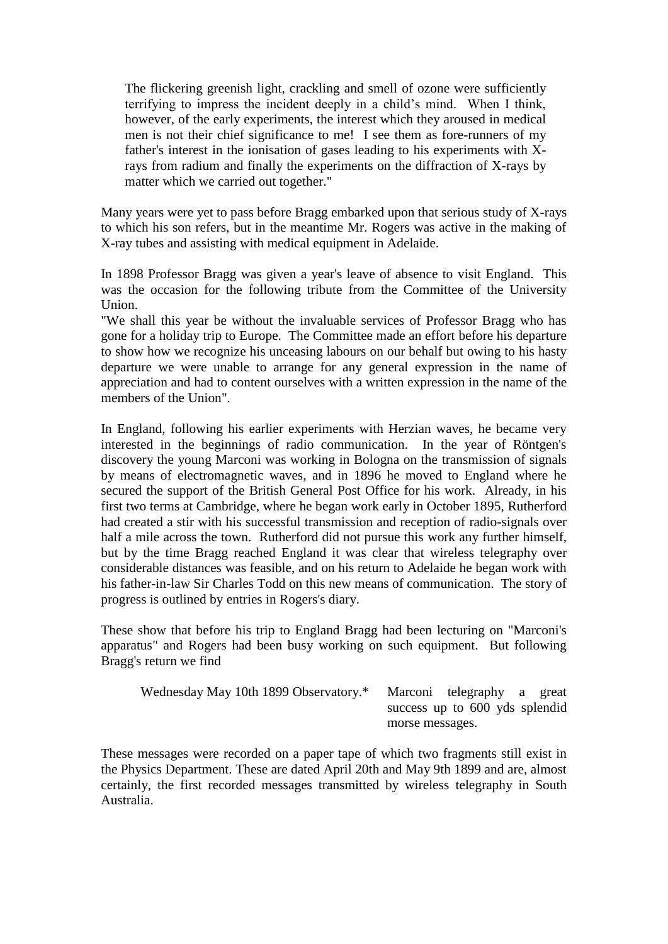The flickering greenish light, crackling and smell of ozone were sufficiently terrifying to impress the incident deeply in a child"s mind. When I think, however, of the early experiments, the interest which they aroused in medical men is not their chief significance to me! I see them as fore-runners of my father's interest in the ionisation of gases leading to his experiments with Xrays from radium and finally the experiments on the diffraction of X-rays by matter which we carried out together."

Many years were yet to pass before Bragg embarked upon that serious study of X-rays to which his son refers, but in the meantime Mr. Rogers was active in the making of X-ray tubes and assisting with medical equipment in Adelaide.

In 1898 Professor Bragg was given a year's leave of absence to visit England. This was the occasion for the following tribute from the Committee of the University Union.

"We shall this year be without the invaluable services of Professor Bragg who has gone for a holiday trip to Europe. The Committee made an effort before his departure to show how we recognize his unceasing labours on our behalf but owing to his hasty departure we were unable to arrange for any general expression in the name of appreciation and had to content ourselves with a written expression in the name of the members of the Union".

In England, following his earlier experiments with Herzian waves, he became very interested in the beginnings of radio communication. In the year of Röntgen's discovery the young Marconi was working in Bologna on the transmission of signals by means of electromagnetic waves, and in 1896 he moved to England where he secured the support of the British General Post Office for his work. Already, in his first two terms at Cambridge, where he began work early in October 1895, Rutherford had created a stir with his successful transmission and reception of radio-signals over half a mile across the town. Rutherford did not pursue this work any further himself, but by the time Bragg reached England it was clear that wireless telegraphy over considerable distances was feasible, and on his return to Adelaide he began work with his father-in-law Sir Charles Todd on this new means of communication. The story of progress is outlined by entries in Rogers's diary.

These show that before his trip to England Bragg had been lecturing on "Marconi's apparatus" and Rogers had been busy working on such equipment. But following Bragg's return we find

| Wednesday May 10th 1899 Observatory.* Marconi telegraphy a great |                                |  |  |  |
|------------------------------------------------------------------|--------------------------------|--|--|--|
|                                                                  | success up to 600 yds splendid |  |  |  |
|                                                                  | morse messages.                |  |  |  |

These messages were recorded on a paper tape of which two fragments still exist in the Physics Department. These are dated April 20th and May 9th 1899 and are, almost certainly, the first recorded messages transmitted by wireless telegraphy in South Australia.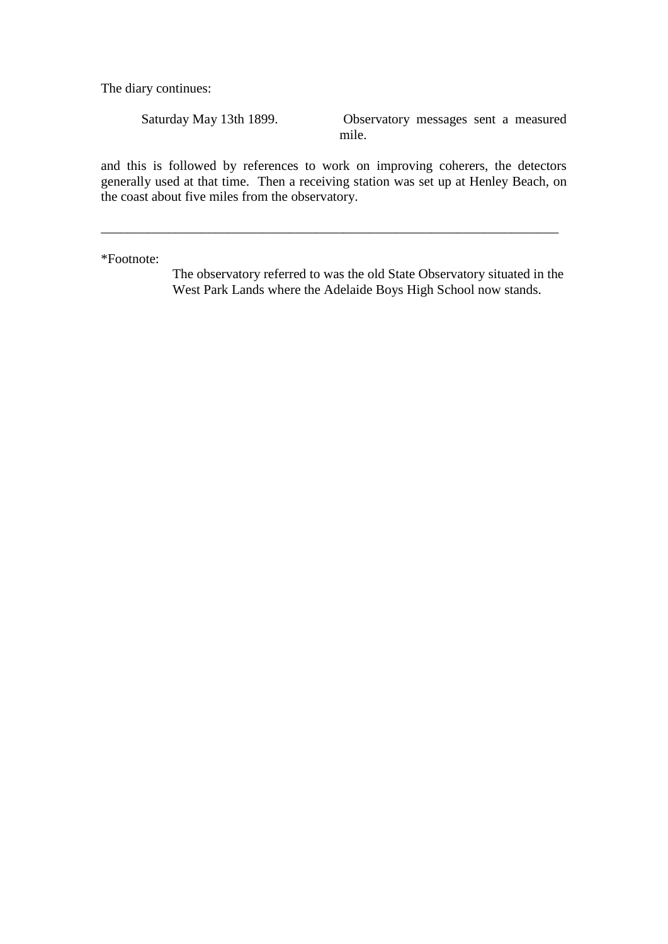The diary continues:

Saturday May 13th 1899. Observatory messages sent a measured mile.

and this is followed by references to work on improving coherers, the detectors generally used at that time. Then a receiving station was set up at Henley Beach, on the coast about five miles from the observatory.

\_\_\_\_\_\_\_\_\_\_\_\_\_\_\_\_\_\_\_\_\_\_\_\_\_\_\_\_\_\_\_\_\_\_\_\_\_\_\_\_\_\_\_\_\_\_\_\_\_\_\_\_\_\_\_\_\_\_\_\_\_\_\_\_\_\_\_\_

\*Footnote:

The observatory referred to was the old State Observatory situated in the West Park Lands where the Adelaide Boys High School now stands.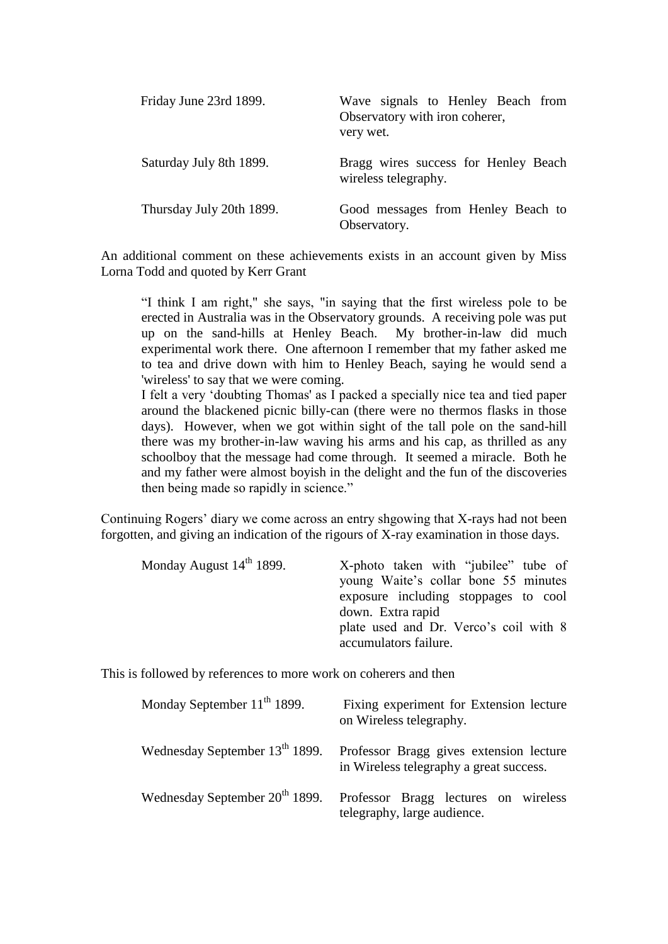| Friday June 23rd 1899.   | Wave signals to Henley Beach from<br>Observatory with iron coherer,<br>very wet. |
|--------------------------|----------------------------------------------------------------------------------|
| Saturday July 8th 1899.  | Bragg wires success for Henley Beach<br>wireless telegraphy.                     |
| Thursday July 20th 1899. | Good messages from Henley Beach to<br>Observatory.                               |

An additional comment on these achievements exists in an account given by Miss Lorna Todd and quoted by Kerr Grant

"I think I am right," she says, "in saying that the first wireless pole to be erected in Australia was in the Observatory grounds. A receiving pole was put up on the sand-hills at Henley Beach. My brother-in-law did much experimental work there. One afternoon I remember that my father asked me to tea and drive down with him to Henley Beach, saying he would send a 'wireless' to say that we were coming.

I felt a very "doubting Thomas' as I packed a specially nice tea and tied paper around the blackened picnic billy-can (there were no thermos flasks in those days). However, when we got within sight of the tall pole on the sand-hill there was my brother-in-law waving his arms and his cap, as thrilled as any schoolboy that the message had come through. It seemed a miracle. Both he and my father were almost boyish in the delight and the fun of the discoveries then being made so rapidly in science."

Continuing Rogers" diary we come across an entry shgowing that X-rays had not been forgotten, and giving an indication of the rigours of X-ray examination in those days.

| Monday August 14 <sup>th</sup> 1899. | X-photo taken with "jubilee" tube of<br>young Waite's collar bone 55 minutes<br>exposure including stoppages to cool<br>down. Extra rapid<br>plate used and Dr. Verco's coil with 8<br>accumulators failure. |
|--------------------------------------|--------------------------------------------------------------------------------------------------------------------------------------------------------------------------------------------------------------|
|                                      |                                                                                                                                                                                                              |

This is followed by references to more work on coherers and then

| Monday September $11^{th}$ 1899.           | Fixing experiment for Extension lecture<br>on Wireless telegraphy.                 |  |
|--------------------------------------------|------------------------------------------------------------------------------------|--|
| Wednesday September 13 <sup>th</sup> 1899. | Professor Bragg gives extension lecture<br>in Wireless telegraphy a great success. |  |
| Wednesday September 20 <sup>th</sup> 1899. | Professor Bragg lectures on wireless<br>telegraphy, large audience.                |  |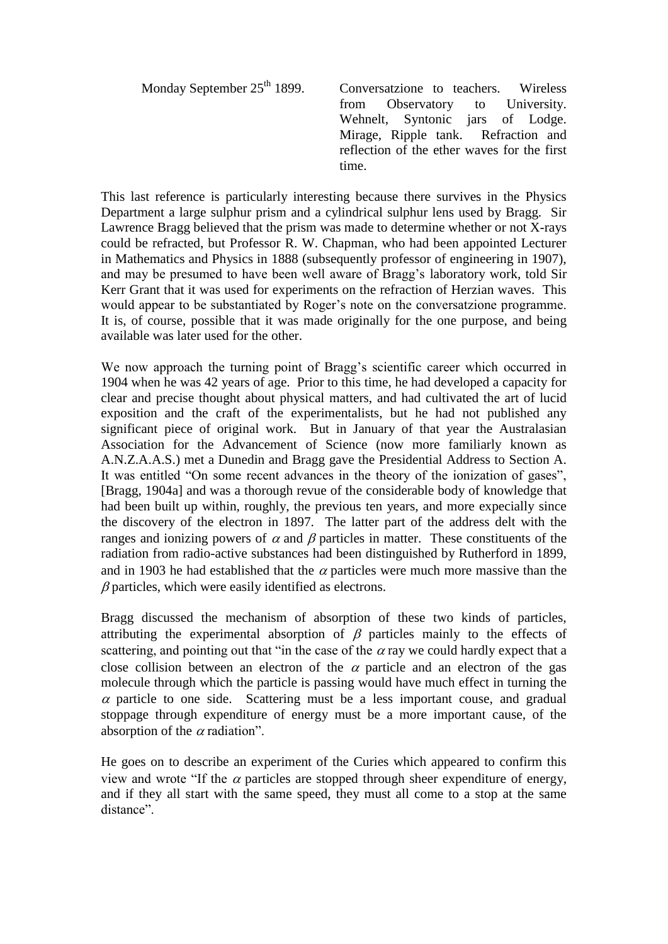| Monday September 25 <sup>th</sup> 1899. | Conversatzione to teachers. Wireless        |
|-----------------------------------------|---------------------------------------------|
|                                         | from Observatory to University.             |
|                                         | Wehnelt, Syntonic jars of Lodge.            |
|                                         | Mirage, Ripple tank. Refraction and         |
|                                         | reflection of the ether waves for the first |
|                                         | time.                                       |
|                                         |                                             |

This last reference is particularly interesting because there survives in the Physics Department a large sulphur prism and a cylindrical sulphur lens used by Bragg. Sir Lawrence Bragg believed that the prism was made to determine whether or not X-rays could be refracted, but Professor R. W. Chapman, who had been appointed Lecturer in Mathematics and Physics in 1888 (subsequently professor of engineering in 1907), and may be presumed to have been well aware of Bragg"s laboratory work, told Sir Kerr Grant that it was used for experiments on the refraction of Herzian waves. This would appear to be substantiated by Roger's note on the conversatzione programme. It is, of course, possible that it was made originally for the one purpose, and being available was later used for the other.

We now approach the turning point of Bragg's scientific career which occurred in 1904 when he was 42 years of age. Prior to this time, he had developed a capacity for clear and precise thought about physical matters, and had cultivated the art of lucid exposition and the craft of the experimentalists, but he had not published any significant piece of original work. But in January of that year the Australasian Association for the Advancement of Science (now more familiarly known as A.N.Z.A.A.S.) met a Dunedin and Bragg gave the Presidential Address to Section A. It was entitled "On some recent advances in the theory of the ionization of gases", [Bragg, 1904a] and was a thorough revue of the considerable body of knowledge that had been built up within, roughly, the previous ten years, and more expecially since the discovery of the electron in 1897. The latter part of the address delt with the ranges and ionizing powers of  $\alpha$  and  $\beta$  particles in matter. These constituents of the radiation from radio-active substances had been distinguished by Rutherford in 1899, and in 1903 he had established that the  $\alpha$  particles were much more massive than the  $\beta$  particles, which were easily identified as electrons.

Bragg discussed the mechanism of absorption of these two kinds of particles, attributing the experimental absorption of  $\beta$  particles mainly to the effects of scattering, and pointing out that "in the case of the  $\alpha$  ray we could hardly expect that a close collision between an electron of the  $\alpha$  particle and an electron of the gas molecule through which the particle is passing would have much effect in turning the  $\alpha$  particle to one side. Scattering must be a less important couse, and gradual stoppage through expenditure of energy must be a more important cause, of the absorption of the  $\alpha$  radiation".

He goes on to describe an experiment of the Curies which appeared to confirm this view and wrote "If the  $\alpha$  particles are stopped through sheer expenditure of energy, and if they all start with the same speed, they must all come to a stop at the same distance".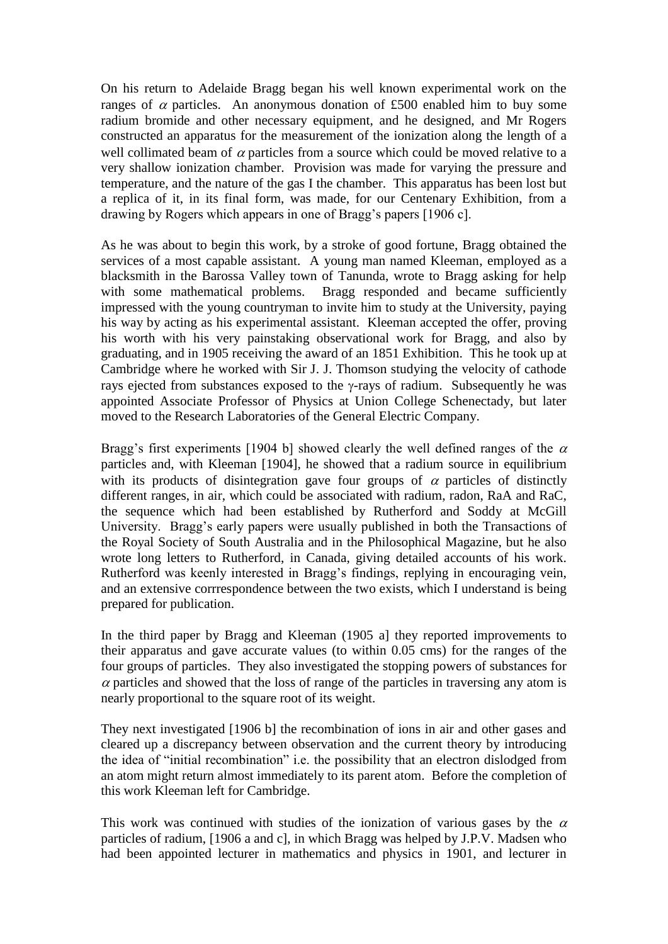On his return to Adelaide Bragg began his well known experimental work on the ranges of  $\alpha$  particles. An anonymous donation of £500 enabled him to buy some radium bromide and other necessary equipment, and he designed, and Mr Rogers constructed an apparatus for the measurement of the ionization along the length of a well collimated beam of  $\alpha$  particles from a source which could be moved relative to a very shallow ionization chamber. Provision was made for varying the pressure and temperature, and the nature of the gas I the chamber. This apparatus has been lost but a replica of it, in its final form, was made, for our Centenary Exhibition, from a drawing by Rogers which appears in one of Bragg's papers [1906 c].

As he was about to begin this work, by a stroke of good fortune, Bragg obtained the services of a most capable assistant. A young man named Kleeman, employed as a blacksmith in the Barossa Valley town of Tanunda, wrote to Bragg asking for help with some mathematical problems. Bragg responded and became sufficiently impressed with the young countryman to invite him to study at the University, paying his way by acting as his experimental assistant. Kleeman accepted the offer, proving his worth with his very painstaking observational work for Bragg, and also by graduating, and in 1905 receiving the award of an 1851 Exhibition. This he took up at Cambridge where he worked with Sir J. J. Thomson studying the velocity of cathode rays ejected from substances exposed to the  $\gamma$ -rays of radium. Subsequently he was appointed Associate Professor of Physics at Union College Schenectady, but later moved to the Research Laboratories of the General Electric Company.

Bragg's first experiments [1904 b] showed clearly the well defined ranges of the  $\alpha$ particles and, with Kleeman [1904], he showed that a radium source in equilibrium with its products of disintegration gave four groups of  $\alpha$  particles of distinctly different ranges, in air, which could be associated with radium, radon, RaA and RaC, the sequence which had been established by Rutherford and Soddy at McGill University. Bragg"s early papers were usually published in both the Transactions of the Royal Society of South Australia and in the Philosophical Magazine, but he also wrote long letters to Rutherford, in Canada, giving detailed accounts of his work. Rutherford was keenly interested in Bragg's findings, replying in encouraging vein, and an extensive corrrespondence between the two exists, which I understand is being prepared for publication.

In the third paper by Bragg and Kleeman (1905 a] they reported improvements to their apparatus and gave accurate values (to within 0.05 cms) for the ranges of the four groups of particles. They also investigated the stopping powers of substances for  $\alpha$  particles and showed that the loss of range of the particles in traversing any atom is nearly proportional to the square root of its weight.

They next investigated [1906 b] the recombination of ions in air and other gases and cleared up a discrepancy between observation and the current theory by introducing the idea of "initial recombination" i.e. the possibility that an electron dislodged from an atom might return almost immediately to its parent atom. Before the completion of this work Kleeman left for Cambridge.

This work was continued with studies of the ionization of various gases by the  $\alpha$ particles of radium, [1906 a and c], in which Bragg was helped by J.P.V. Madsen who had been appointed lecturer in mathematics and physics in 1901, and lecturer in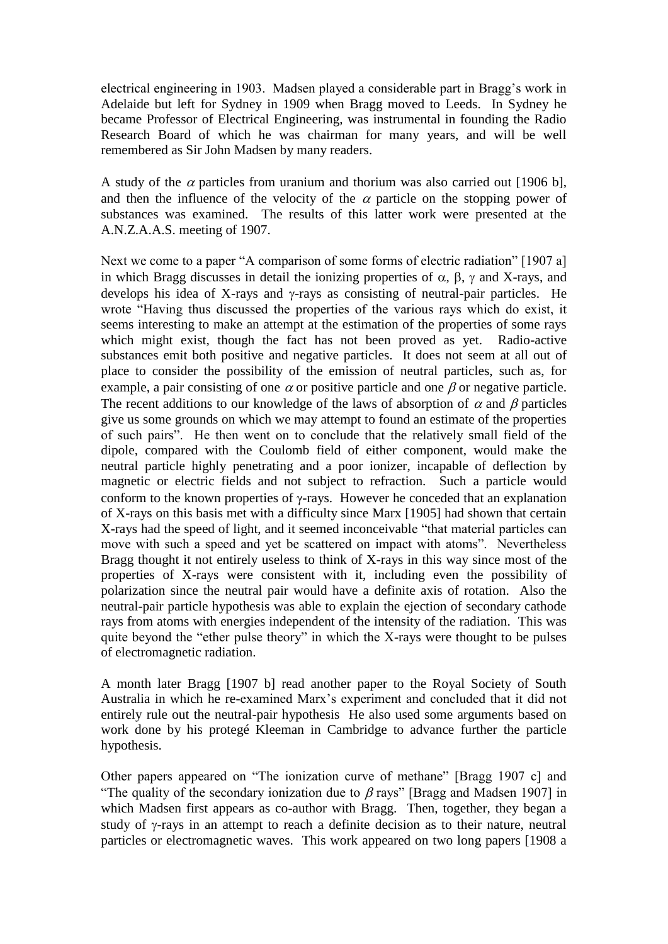electrical engineering in 1903. Madsen played a considerable part in Bragg"s work in Adelaide but left for Sydney in 1909 when Bragg moved to Leeds. In Sydney he became Professor of Electrical Engineering, was instrumental in founding the Radio Research Board of which he was chairman for many years, and will be well remembered as Sir John Madsen by many readers.

A study of the  $\alpha$  particles from uranium and thorium was also carried out [1906 b], and then the influence of the velocity of the  $\alpha$  particle on the stopping power of substances was examined. The results of this latter work were presented at the A.N.Z.A.A.S. meeting of 1907.

Next we come to a paper "A comparison of some forms of electric radiation" [1907 a] in which Bragg discusses in detail the ionizing properties of  $\alpha$ ,  $\beta$ ,  $\gamma$  and X-rays, and develops his idea of X-rays and  $\gamma$ -rays as consisting of neutral-pair particles. He wrote "Having thus discussed the properties of the various rays which do exist, it seems interesting to make an attempt at the estimation of the properties of some rays which might exist, though the fact has not been proved as yet. Radio-active substances emit both positive and negative particles. It does not seem at all out of place to consider the possibility of the emission of neutral particles, such as, for example, a pair consisting of one  $\alpha$  or positive particle and one  $\beta$  or negative particle. The recent additions to our knowledge of the laws of absorption of  $\alpha$  and  $\beta$  particles give us some grounds on which we may attempt to found an estimate of the properties of such pairs". He then went on to conclude that the relatively small field of the dipole, compared with the Coulomb field of either component, would make the neutral particle highly penetrating and a poor ionizer, incapable of deflection by magnetic or electric fields and not subject to refraction. Such a particle would conform to the known properties of  $\gamma$ -rays. However he conceded that an explanation of X-rays on this basis met with a difficulty since Marx [1905] had shown that certain X-rays had the speed of light, and it seemed inconceivable "that material particles can move with such a speed and yet be scattered on impact with atoms". Nevertheless Bragg thought it not entirely useless to think of X-rays in this way since most of the properties of X-rays were consistent with it, including even the possibility of polarization since the neutral pair would have a definite axis of rotation. Also the neutral-pair particle hypothesis was able to explain the ejection of secondary cathode rays from atoms with energies independent of the intensity of the radiation. This was quite beyond the "ether pulse theory" in which the X-rays were thought to be pulses of electromagnetic radiation.

A month later Bragg [1907 b] read another paper to the Royal Society of South Australia in which he re-examined Marx"s experiment and concluded that it did not entirely rule out the neutral-pair hypothesis He also used some arguments based on work done by his protegé Kleeman in Cambridge to advance further the particle hypothesis.

Other papers appeared on "The ionization curve of methane" [Bragg 1907 c] and "The quality of the secondary ionization due to  $\beta$  rays" [Bragg and Madsen 1907] in which Madsen first appears as co-author with Bragg. Then, together, they began a study of  $\gamma$ -rays in an attempt to reach a definite decision as to their nature, neutral particles or electromagnetic waves. This work appeared on two long papers [1908 a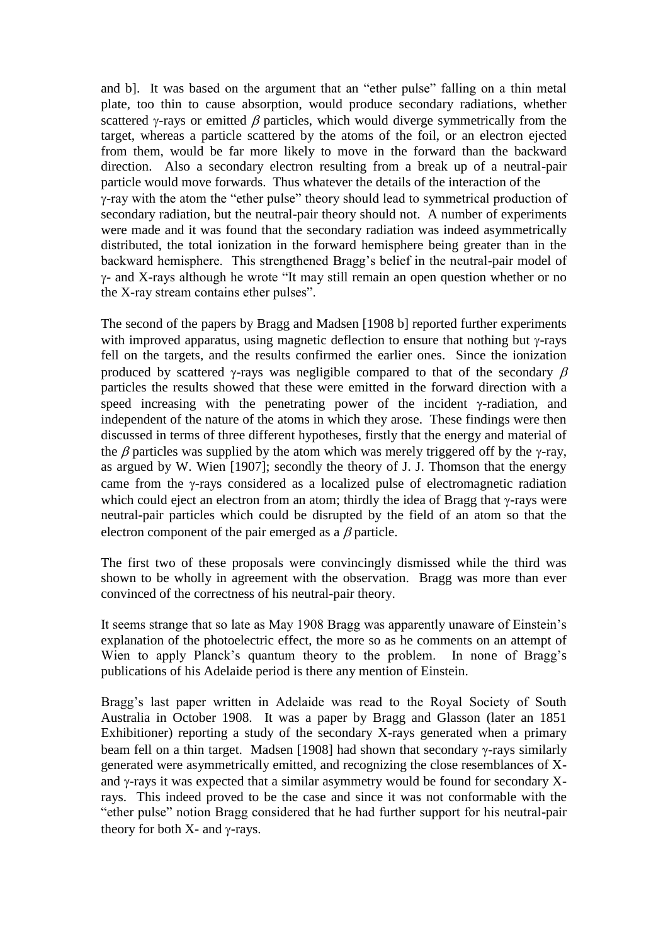and b]. It was based on the argument that an "ether pulse" falling on a thin metal plate, too thin to cause absorption, would produce secondary radiations, whether scattered  $\gamma$ -rays or emitted  $\beta$  particles, which would diverge symmetrically from the target, whereas a particle scattered by the atoms of the foil, or an electron ejected from them, would be far more likely to move in the forward than the backward direction. Also a secondary electron resulting from a break up of a neutral-pair particle would move forwards. Thus whatever the details of the interaction of the -ray with the atom the "ether pulse" theory should lead to symmetrical production of secondary radiation, but the neutral-pair theory should not. A number of experiments were made and it was found that the secondary radiation was indeed asymmetrically distributed, the total ionization in the forward hemisphere being greater than in the backward hemisphere. This strengthened Bragg"s belief in the neutral-pair model of  $\gamma$ - and X-rays although he wrote "It may still remain an open question whether or no the X-ray stream contains ether pulses".

The second of the papers by Bragg and Madsen [1908 b] reported further experiments with improved apparatus, using magnetic deflection to ensure that nothing but  $\gamma$ -rays fell on the targets, and the results confirmed the earlier ones. Since the ionization produced by scattered  $\gamma$ -rays was negligible compared to that of the secondary  $\beta$ particles the results showed that these were emitted in the forward direction with a speed increasing with the penetrating power of the incident  $\gamma$ -radiation, and independent of the nature of the atoms in which they arose. These findings were then discussed in terms of three different hypotheses, firstly that the energy and material of the  $\beta$  particles was supplied by the atom which was merely triggered off by the  $\gamma$ -ray, as argued by W. Wien [1907]; secondly the theory of J. J. Thomson that the energy came from the  $\gamma$ -rays considered as a localized pulse of electromagnetic radiation which could eject an electron from an atom; thirdly the idea of Bragg that  $\gamma$ -rays were neutral-pair particles which could be disrupted by the field of an atom so that the electron component of the pair emerged as a  $\beta$  particle.

The first two of these proposals were convincingly dismissed while the third was shown to be wholly in agreement with the observation. Bragg was more than ever convinced of the correctness of his neutral-pair theory.

It seems strange that so late as May 1908 Bragg was apparently unaware of Einstein"s explanation of the photoelectric effect, the more so as he comments on an attempt of Wien to apply Planck's quantum theory to the problem. In none of Bragg's publications of his Adelaide period is there any mention of Einstein.

Bragg's last paper written in Adelaide was read to the Royal Society of South Australia in October 1908. It was a paper by Bragg and Glasson (later an 1851 Exhibitioner) reporting a study of the secondary X-rays generated when a primary beam fell on a thin target. Madsen [1908] had shown that secondary  $\gamma$ -rays similarly generated were asymmetrically emitted, and recognizing the close resemblances of Xand  $\gamma$ -rays it was expected that a similar asymmetry would be found for secondary Xrays. This indeed proved to be the case and since it was not conformable with the "ether pulse" notion Bragg considered that he had further support for his neutral-pair theory for both  $X$ - and  $\nu$ -rays.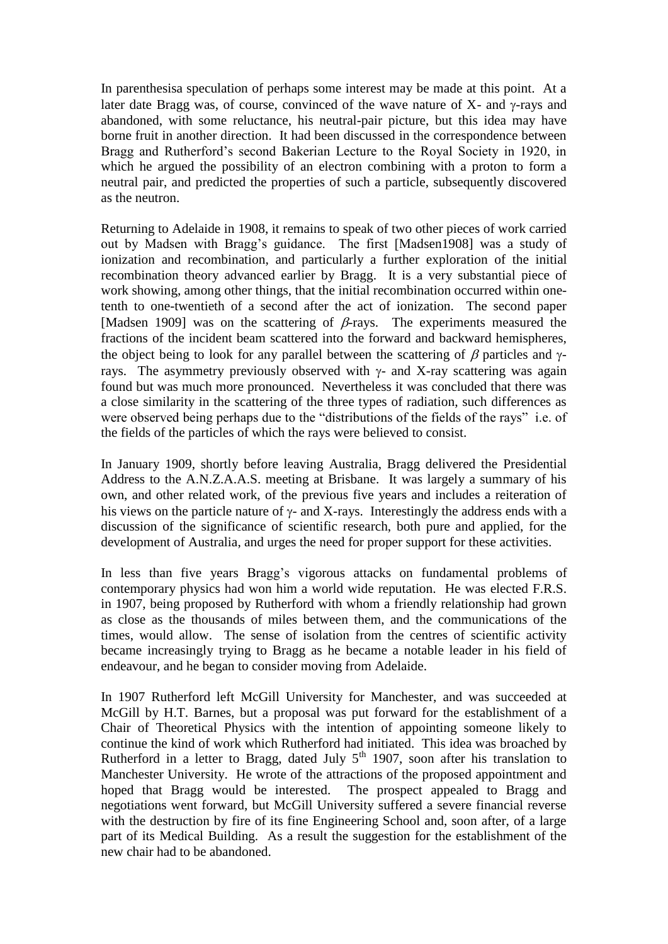In parenthesisa speculation of perhaps some interest may be made at this point. At a later date Bragg was, of course, convinced of the wave nature of  $X$ - and  $\gamma$ -rays and abandoned, with some reluctance, his neutral-pair picture, but this idea may have borne fruit in another direction. It had been discussed in the correspondence between Bragg and Rutherford"s second Bakerian Lecture to the Royal Society in 1920, in which he argued the possibility of an electron combining with a proton to form a neutral pair, and predicted the properties of such a particle, subsequently discovered as the neutron.

Returning to Adelaide in 1908, it remains to speak of two other pieces of work carried out by Madsen with Bragg"s guidance. The first [Madsen1908] was a study of ionization and recombination, and particularly a further exploration of the initial recombination theory advanced earlier by Bragg. It is a very substantial piece of work showing, among other things, that the initial recombination occurred within onetenth to one-twentieth of a second after the act of ionization. The second paper [Madsen 1909] was on the scattering of  $\beta$ -rays. The experiments measured the fractions of the incident beam scattered into the forward and backward hemispheres, the object being to look for any parallel between the scattering of  $\beta$  particles and  $\gamma$ rays. The asymmetry previously observed with  $\gamma$ - and X-ray scattering was again found but was much more pronounced. Nevertheless it was concluded that there was a close similarity in the scattering of the three types of radiation, such differences as were observed being perhaps due to the "distributions of the fields of the rays" i.e. of the fields of the particles of which the rays were believed to consist.

In January 1909, shortly before leaving Australia, Bragg delivered the Presidential Address to the A.N.Z.A.A.S. meeting at Brisbane. It was largely a summary of his own, and other related work, of the previous five years and includes a reiteration of his views on the particle nature of  $\gamma$ - and X-rays. Interestingly the address ends with a discussion of the significance of scientific research, both pure and applied, for the development of Australia, and urges the need for proper support for these activities.

In less than five years Bragg"s vigorous attacks on fundamental problems of contemporary physics had won him a world wide reputation. He was elected F.R.S. in 1907, being proposed by Rutherford with whom a friendly relationship had grown as close as the thousands of miles between them, and the communications of the times, would allow. The sense of isolation from the centres of scientific activity became increasingly trying to Bragg as he became a notable leader in his field of endeavour, and he began to consider moving from Adelaide.

In 1907 Rutherford left McGill University for Manchester, and was succeeded at McGill by H.T. Barnes, but a proposal was put forward for the establishment of a Chair of Theoretical Physics with the intention of appointing someone likely to continue the kind of work which Rutherford had initiated. This idea was broached by Rutherford in a letter to Bragg, dated July  $5<sup>th</sup>$  1907, soon after his translation to Manchester University. He wrote of the attractions of the proposed appointment and hoped that Bragg would be interested. The prospect appealed to Bragg and negotiations went forward, but McGill University suffered a severe financial reverse with the destruction by fire of its fine Engineering School and, soon after, of a large part of its Medical Building. As a result the suggestion for the establishment of the new chair had to be abandoned.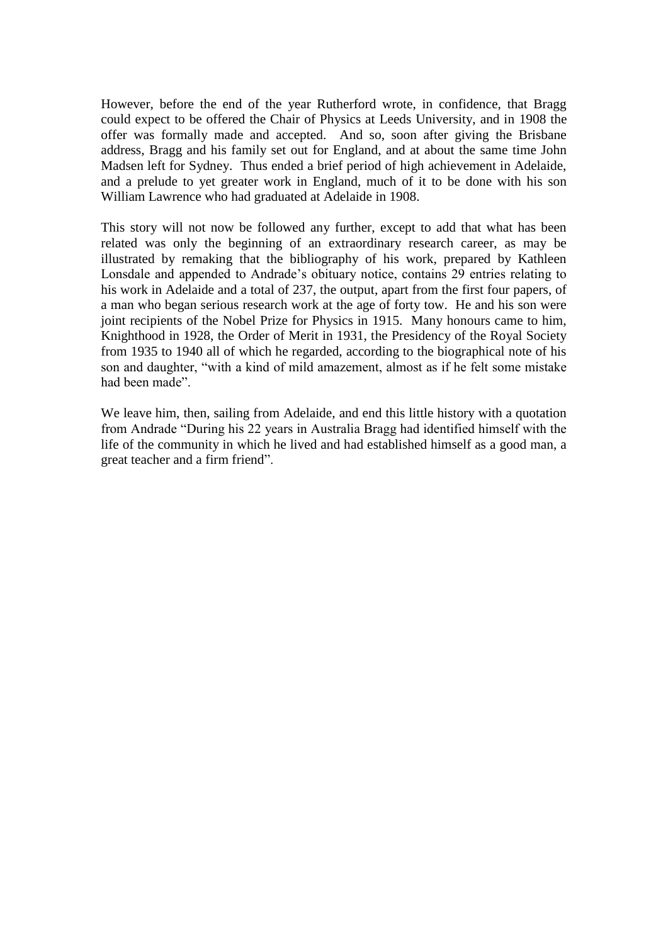However, before the end of the year Rutherford wrote, in confidence, that Bragg could expect to be offered the Chair of Physics at Leeds University, and in 1908 the offer was formally made and accepted. And so, soon after giving the Brisbane address, Bragg and his family set out for England, and at about the same time John Madsen left for Sydney. Thus ended a brief period of high achievement in Adelaide, and a prelude to yet greater work in England, much of it to be done with his son William Lawrence who had graduated at Adelaide in 1908.

This story will not now be followed any further, except to add that what has been related was only the beginning of an extraordinary research career, as may be illustrated by remaking that the bibliography of his work, prepared by Kathleen Lonsdale and appended to Andrade"s obituary notice, contains 29 entries relating to his work in Adelaide and a total of 237, the output, apart from the first four papers, of a man who began serious research work at the age of forty tow. He and his son were joint recipients of the Nobel Prize for Physics in 1915. Many honours came to him, Knighthood in 1928, the Order of Merit in 1931, the Presidency of the Royal Society from 1935 to 1940 all of which he regarded, according to the biographical note of his son and daughter, "with a kind of mild amazement, almost as if he felt some mistake had been made".

We leave him, then, sailing from Adelaide, and end this little history with a quotation from Andrade "During his 22 years in Australia Bragg had identified himself with the life of the community in which he lived and had established himself as a good man, a great teacher and a firm friend".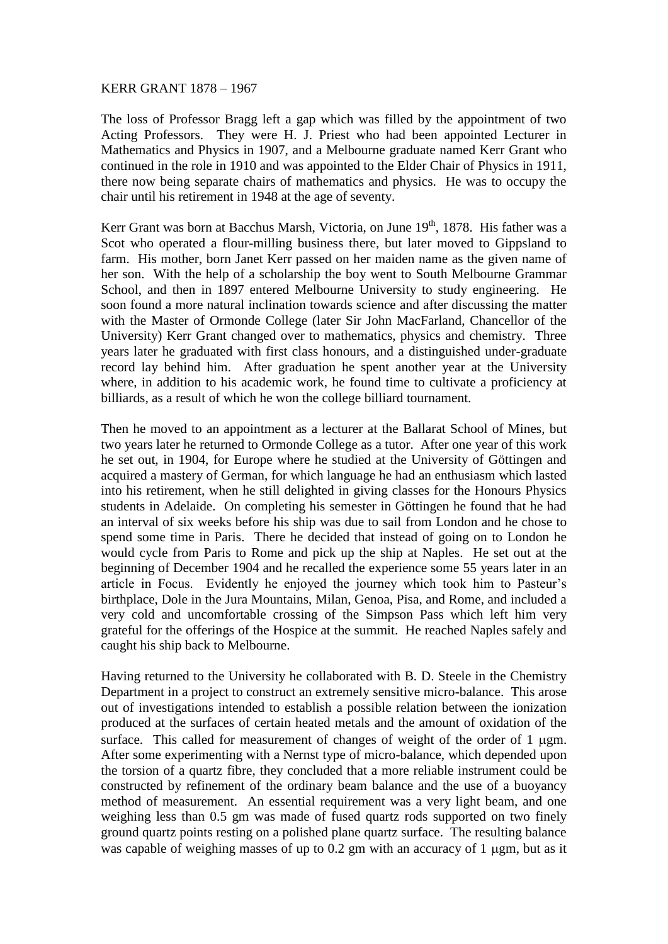#### KERR GRANT 1878 – 1967

The loss of Professor Bragg left a gap which was filled by the appointment of two Acting Professors. They were H. J. Priest who had been appointed Lecturer in Mathematics and Physics in 1907, and a Melbourne graduate named Kerr Grant who continued in the role in 1910 and was appointed to the Elder Chair of Physics in 1911, there now being separate chairs of mathematics and physics. He was to occupy the chair until his retirement in 1948 at the age of seventy.

Kerr Grant was born at Bacchus Marsh, Victoria, on June 19<sup>th</sup>, 1878. His father was a Scot who operated a flour-milling business there, but later moved to Gippsland to farm. His mother, born Janet Kerr passed on her maiden name as the given name of her son. With the help of a scholarship the boy went to South Melbourne Grammar School, and then in 1897 entered Melbourne University to study engineering. He soon found a more natural inclination towards science and after discussing the matter with the Master of Ormonde College (later Sir John MacFarland, Chancellor of the University) Kerr Grant changed over to mathematics, physics and chemistry. Three years later he graduated with first class honours, and a distinguished under-graduate record lay behind him. After graduation he spent another year at the University where, in addition to his academic work, he found time to cultivate a proficiency at billiards, as a result of which he won the college billiard tournament.

Then he moved to an appointment as a lecturer at the Ballarat School of Mines, but two years later he returned to Ormonde College as a tutor. After one year of this work he set out, in 1904, for Europe where he studied at the University of Göttingen and acquired a mastery of German, for which language he had an enthusiasm which lasted into his retirement, when he still delighted in giving classes for the Honours Physics students in Adelaide. On completing his semester in Göttingen he found that he had an interval of six weeks before his ship was due to sail from London and he chose to spend some time in Paris. There he decided that instead of going on to London he would cycle from Paris to Rome and pick up the ship at Naples. He set out at the beginning of December 1904 and he recalled the experience some 55 years later in an article in Focus. Evidently he enjoyed the journey which took him to Pasteur"s birthplace, Dole in the Jura Mountains, Milan, Genoa, Pisa, and Rome, and included a very cold and uncomfortable crossing of the Simpson Pass which left him very grateful for the offerings of the Hospice at the summit. He reached Naples safely and caught his ship back to Melbourne.

Having returned to the University he collaborated with B. D. Steele in the Chemistry Department in a project to construct an extremely sensitive micro-balance. This arose out of investigations intended to establish a possible relation between the ionization produced at the surfaces of certain heated metals and the amount of oxidation of the surface. This called for measurement of changes of weight of the order of  $1 \mu$ gm. After some experimenting with a Nernst type of micro-balance, which depended upon the torsion of a quartz fibre, they concluded that a more reliable instrument could be constructed by refinement of the ordinary beam balance and the use of a buoyancy method of measurement. An essential requirement was a very light beam, and one weighing less than 0.5 gm was made of fused quartz rods supported on two finely ground quartz points resting on a polished plane quartz surface. The resulting balance was capable of weighing masses of up to  $0.2$  gm with an accuracy of 1  $\mu$ gm, but as it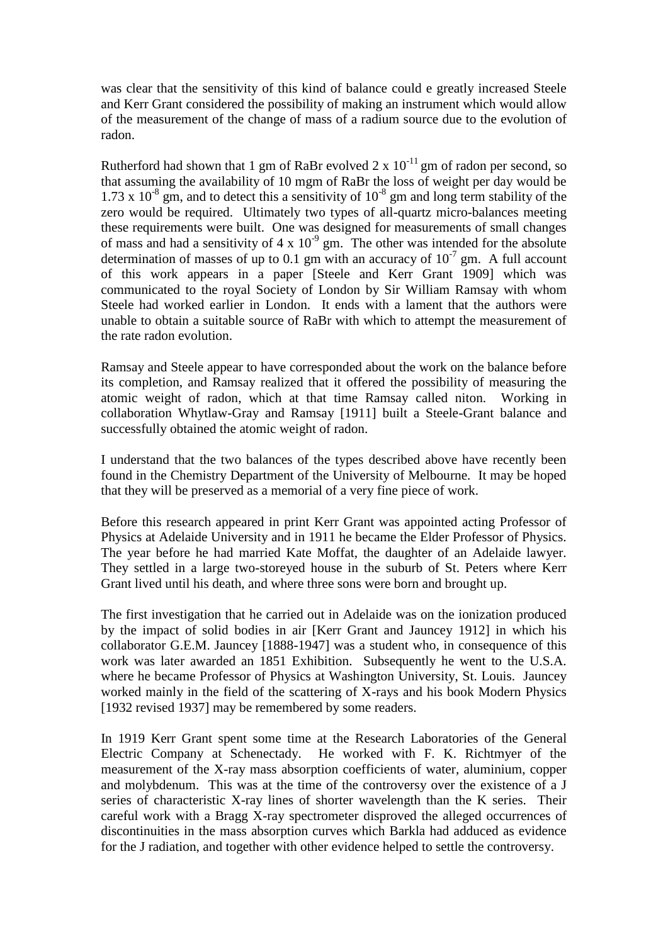was clear that the sensitivity of this kind of balance could e greatly increased Steele and Kerr Grant considered the possibility of making an instrument which would allow of the measurement of the change of mass of a radium source due to the evolution of radon.

Rutherford had shown that 1 gm of RaBr evolved 2 x  $10^{-11}$  gm of radon per second, so that assuming the availability of 10 mgm of RaBr the loss of weight per day would be 1.73 x  $10^{-8}$  gm, and to detect this a sensitivity of  $10^{-8}$  gm and long term stability of the zero would be required. Ultimately two types of all-quartz micro-balances meeting these requirements were built. One was designed for measurements of small changes of mass and had a sensitivity of  $4 \times 10^{-9}$  gm. The other was intended for the absolute determination of masses of up to 0.1 gm with an accuracy of  $10^{-7}$  gm. A full account of this work appears in a paper [Steele and Kerr Grant 1909] which was communicated to the royal Society of London by Sir William Ramsay with whom Steele had worked earlier in London. It ends with a lament that the authors were unable to obtain a suitable source of RaBr with which to attempt the measurement of the rate radon evolution.

Ramsay and Steele appear to have corresponded about the work on the balance before its completion, and Ramsay realized that it offered the possibility of measuring the atomic weight of radon, which at that time Ramsay called niton. Working in collaboration Whytlaw-Gray and Ramsay [1911] built a Steele-Grant balance and successfully obtained the atomic weight of radon.

I understand that the two balances of the types described above have recently been found in the Chemistry Department of the University of Melbourne. It may be hoped that they will be preserved as a memorial of a very fine piece of work.

Before this research appeared in print Kerr Grant was appointed acting Professor of Physics at Adelaide University and in 1911 he became the Elder Professor of Physics. The year before he had married Kate Moffat, the daughter of an Adelaide lawyer. They settled in a large two-storeyed house in the suburb of St. Peters where Kerr Grant lived until his death, and where three sons were born and brought up.

The first investigation that he carried out in Adelaide was on the ionization produced by the impact of solid bodies in air [Kerr Grant and Jauncey 1912] in which his collaborator G.E.M. Jauncey [1888-1947] was a student who, in consequence of this work was later awarded an 1851 Exhibition. Subsequently he went to the U.S.A. where he became Professor of Physics at Washington University, St. Louis. Jauncey worked mainly in the field of the scattering of X-rays and his book Modern Physics [1932 revised 1937] may be remembered by some readers.

In 1919 Kerr Grant spent some time at the Research Laboratories of the General Electric Company at Schenectady. He worked with F. K. Richtmyer of the measurement of the X-ray mass absorption coefficients of water, aluminium, copper and molybdenum. This was at the time of the controversy over the existence of a J series of characteristic X-ray lines of shorter wavelength than the K series. Their careful work with a Bragg X-ray spectrometer disproved the alleged occurrences of discontinuities in the mass absorption curves which Barkla had adduced as evidence for the J radiation, and together with other evidence helped to settle the controversy.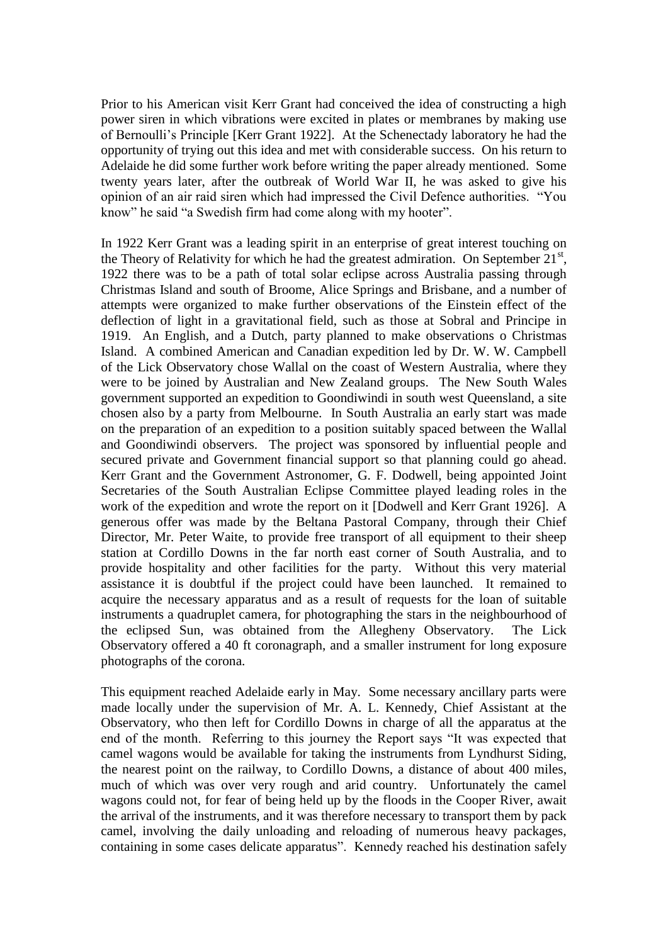Prior to his American visit Kerr Grant had conceived the idea of constructing a high power siren in which vibrations were excited in plates or membranes by making use of Bernoulli"s Principle [Kerr Grant 1922]. At the Schenectady laboratory he had the opportunity of trying out this idea and met with considerable success. On his return to Adelaide he did some further work before writing the paper already mentioned. Some twenty years later, after the outbreak of World War II, he was asked to give his opinion of an air raid siren which had impressed the Civil Defence authorities. "You know" he said "a Swedish firm had come along with my hooter".

In 1922 Kerr Grant was a leading spirit in an enterprise of great interest touching on the Theory of Relativity for which he had the greatest admiration. On September  $21^{st}$ , 1922 there was to be a path of total solar eclipse across Australia passing through Christmas Island and south of Broome, Alice Springs and Brisbane, and a number of attempts were organized to make further observations of the Einstein effect of the deflection of light in a gravitational field, such as those at Sobral and Principe in 1919. An English, and a Dutch, party planned to make observations o Christmas Island. A combined American and Canadian expedition led by Dr. W. W. Campbell of the Lick Observatory chose Wallal on the coast of Western Australia, where they were to be joined by Australian and New Zealand groups. The New South Wales government supported an expedition to Goondiwindi in south west Queensland, a site chosen also by a party from Melbourne. In South Australia an early start was made on the preparation of an expedition to a position suitably spaced between the Wallal and Goondiwindi observers. The project was sponsored by influential people and secured private and Government financial support so that planning could go ahead. Kerr Grant and the Government Astronomer, G. F. Dodwell, being appointed Joint Secretaries of the South Australian Eclipse Committee played leading roles in the work of the expedition and wrote the report on it [Dodwell and Kerr Grant 1926]. A generous offer was made by the Beltana Pastoral Company, through their Chief Director, Mr. Peter Waite, to provide free transport of all equipment to their sheep station at Cordillo Downs in the far north east corner of South Australia, and to provide hospitality and other facilities for the party. Without this very material assistance it is doubtful if the project could have been launched. It remained to acquire the necessary apparatus and as a result of requests for the loan of suitable instruments a quadruplet camera, for photographing the stars in the neighbourhood of the eclipsed Sun, was obtained from the Allegheny Observatory. The Lick Observatory offered a 40 ft coronagraph, and a smaller instrument for long exposure photographs of the corona.

This equipment reached Adelaide early in May. Some necessary ancillary parts were made locally under the supervision of Mr. A. L. Kennedy, Chief Assistant at the Observatory, who then left for Cordillo Downs in charge of all the apparatus at the end of the month. Referring to this journey the Report says "It was expected that camel wagons would be available for taking the instruments from Lyndhurst Siding, the nearest point on the railway, to Cordillo Downs, a distance of about 400 miles, much of which was over very rough and arid country. Unfortunately the camel wagons could not, for fear of being held up by the floods in the Cooper River, await the arrival of the instruments, and it was therefore necessary to transport them by pack camel, involving the daily unloading and reloading of numerous heavy packages, containing in some cases delicate apparatus". Kennedy reached his destination safely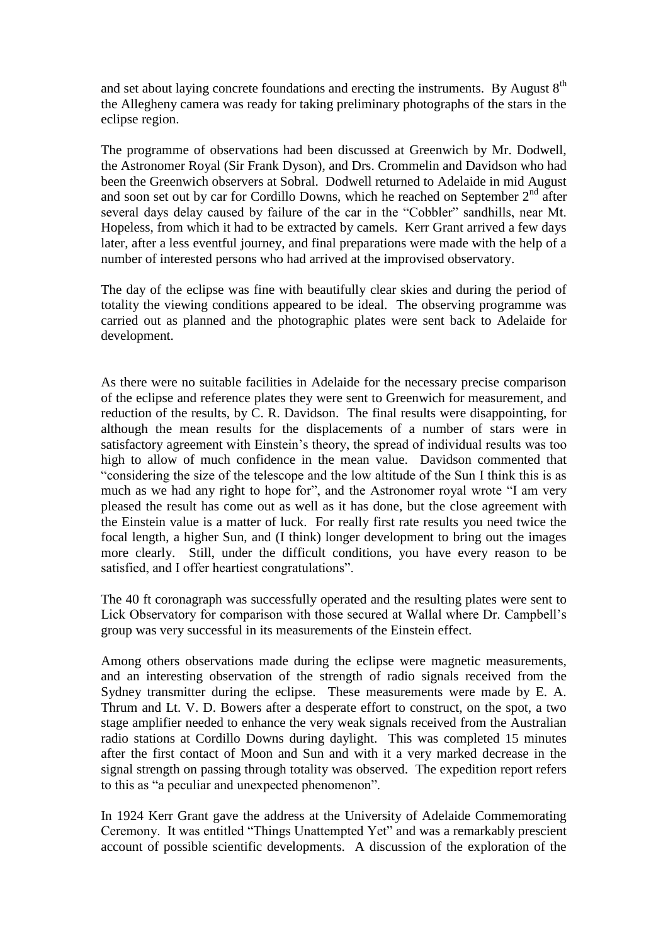and set about laying concrete foundations and erecting the instruments. By August  $8<sup>th</sup>$ the Allegheny camera was ready for taking preliminary photographs of the stars in the eclipse region.

The programme of observations had been discussed at Greenwich by Mr. Dodwell, the Astronomer Royal (Sir Frank Dyson), and Drs. Crommelin and Davidson who had been the Greenwich observers at Sobral. Dodwell returned to Adelaide in mid August and soon set out by car for Cordillo Downs, which he reached on September  $2<sup>nd</sup>$  after several days delay caused by failure of the car in the "Cobbler" sandhills, near Mt. Hopeless, from which it had to be extracted by camels. Kerr Grant arrived a few days later, after a less eventful journey, and final preparations were made with the help of a number of interested persons who had arrived at the improvised observatory.

The day of the eclipse was fine with beautifully clear skies and during the period of totality the viewing conditions appeared to be ideal. The observing programme was carried out as planned and the photographic plates were sent back to Adelaide for development.

As there were no suitable facilities in Adelaide for the necessary precise comparison of the eclipse and reference plates they were sent to Greenwich for measurement, and reduction of the results, by C. R. Davidson. The final results were disappointing, for although the mean results for the displacements of a number of stars were in satisfactory agreement with Einstein"s theory, the spread of individual results was too high to allow of much confidence in the mean value. Davidson commented that "considering the size of the telescope and the low altitude of the Sun I think this is as much as we had any right to hope for", and the Astronomer royal wrote "I am very pleased the result has come out as well as it has done, but the close agreement with the Einstein value is a matter of luck. For really first rate results you need twice the focal length, a higher Sun, and (I think) longer development to bring out the images more clearly. Still, under the difficult conditions, you have every reason to be satisfied, and I offer heartiest congratulations".

The 40 ft coronagraph was successfully operated and the resulting plates were sent to Lick Observatory for comparison with those secured at Wallal where Dr. Campbell"s group was very successful in its measurements of the Einstein effect.

Among others observations made during the eclipse were magnetic measurements, and an interesting observation of the strength of radio signals received from the Sydney transmitter during the eclipse. These measurements were made by E. A. Thrum and Lt. V. D. Bowers after a desperate effort to construct, on the spot, a two stage amplifier needed to enhance the very weak signals received from the Australian radio stations at Cordillo Downs during daylight. This was completed 15 minutes after the first contact of Moon and Sun and with it a very marked decrease in the signal strength on passing through totality was observed. The expedition report refers to this as "a peculiar and unexpected phenomenon".

In 1924 Kerr Grant gave the address at the University of Adelaide Commemorating Ceremony. It was entitled "Things Unattempted Yet" and was a remarkably prescient account of possible scientific developments. A discussion of the exploration of the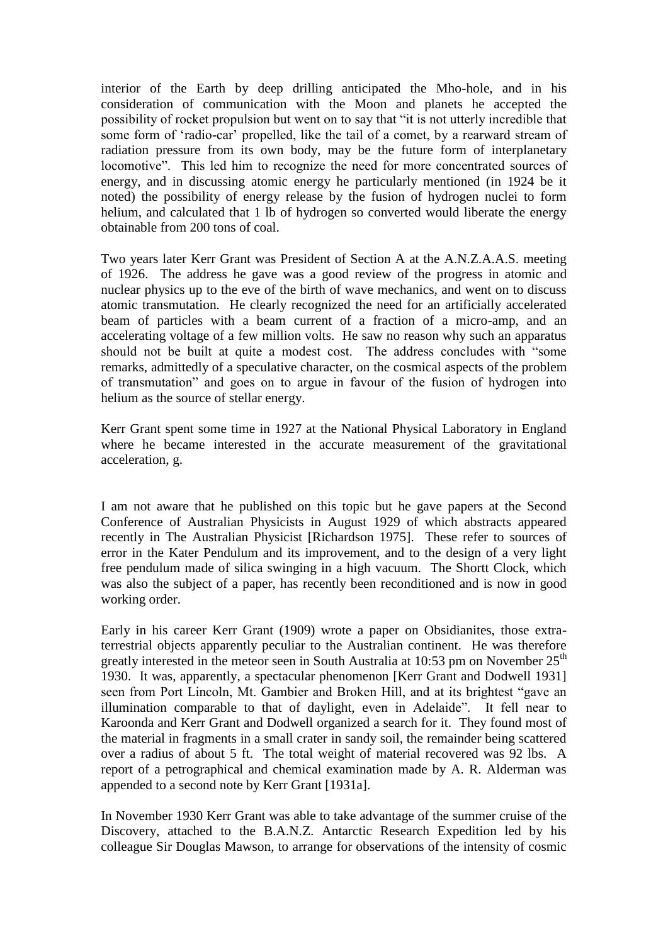interior of the Earth by deep drilling anticipated the Mho-hole, and in his consideration of communication with the Moon and planets he accepted the possibility of rocket propulsion but went on to say that "it is not utterly incredible that some form of 'radio-car' propelled, like the tail of a comet, by a rearward stream of radiation pressure from its own body, may be the future form of interplanetary locomotive". This led him to recognize the need for more concentrated sources of energy, and in discussing atomic energy he particularly mentioned (in 1924 be it noted) the possibility of energy release by the fusion of hydrogen nuclei to form helium, and calculated that 1 lb of hydrogen so converted would liberate the energy obtainable from 200 tons of coal.

Two years later Kerr Grant was President of Section A at the A.N.Z.A.A.S. meeting of 1926. The address he gave was a good review of the progress in atomic and nuclear physics up to the eve of the birth of wave mechanics, and went on to discuss atomic transmutation. He clearly recognized the need for an artificially accelerated beam of particles with a beam current of a fraction of a micro-amp, and an accelerating voltage of a few million volts. He saw no reason why such an apparatus should not be built at quite a modest cost. The address concludes with "some remarks, admittedly of a speculative character, on the cosmical aspects of the problem of transmutation" and goes on to argue in favour of the fusion of hydrogen into helium as the source of stellar energy.

Kerr Grant spent some time in 1927 at the National Physical Laboratory in England where he became interested in the accurate measurement of the gravitational acceleration, g.

I am not aware that he published on this topic but he gave papers at the Second Conference of Australian Physicists in August 1929 of which abstracts appeared recently in The Australian Physicist [Richardson 1975]. These refer to sources of error in the Kater Pendulum and its improvement, and to the design of a very light free pendulum made of silica swinging in a high vacuum. The Shortt Clock, which was also the subject of a paper, has recently been reconditioned and is now in good working order.

Early in his career Kerr Grant (1909) wrote a paper on Obsidianites, those extraterrestrial objects apparently peculiar to the Australian continent. He was therefore greatly interested in the meteor seen in South Australia at 10:53 pm on November  $25<sup>th</sup>$ 1930. It was, apparently, a spectacular phenomenon [Kerr Grant and Dodwell 1931] seen from Port Lincoln, Mt. Gambier and Broken Hill, and at its brightest "gave an illumination comparable to that of daylight, even in Adelaide". It fell near to Karoonda and Kerr Grant and Dodwell organized a search for it. They found most of the material in fragments in a small crater in sandy soil, the remainder being scattered over a radius of about 5 ft. The total weight of material recovered was 92 lbs. A report of a petrographical and chemical examination made by A. R. Alderman was appended to a second note by Kerr Grant [1931a].

In November 1930 Kerr Grant was able to take advantage of the summer cruise of the Discovery, attached to the B.A.N.Z. Antarctic Research Expedition led by his colleague Sir Douglas Mawson, to arrange for observations of the intensity of cosmic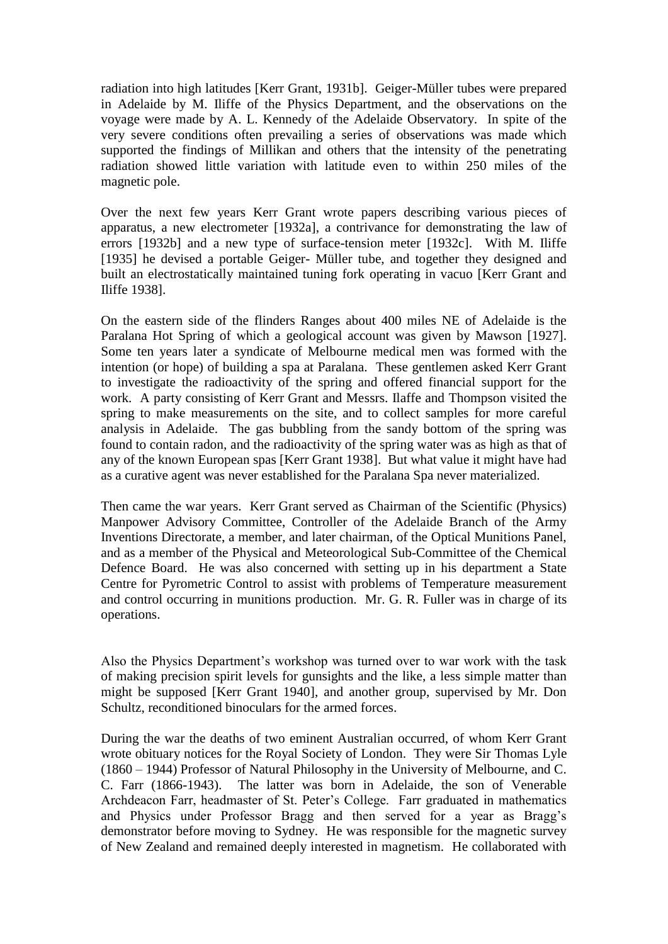radiation into high latitudes [Kerr Grant, 1931b]. Geiger-Müller tubes were prepared in Adelaide by M. Iliffe of the Physics Department, and the observations on the voyage were made by A. L. Kennedy of the Adelaide Observatory. In spite of the very severe conditions often prevailing a series of observations was made which supported the findings of Millikan and others that the intensity of the penetrating radiation showed little variation with latitude even to within 250 miles of the magnetic pole.

Over the next few years Kerr Grant wrote papers describing various pieces of apparatus, a new electrometer [1932a], a contrivance for demonstrating the law of errors [1932b] and a new type of surface-tension meter [1932c]. With M. Iliffe [1935] he devised a portable Geiger- Müller tube, and together they designed and built an electrostatically maintained tuning fork operating in vacuo [Kerr Grant and Iliffe 1938].

On the eastern side of the flinders Ranges about 400 miles NE of Adelaide is the Paralana Hot Spring of which a geological account was given by Mawson [1927]. Some ten years later a syndicate of Melbourne medical men was formed with the intention (or hope) of building a spa at Paralana. These gentlemen asked Kerr Grant to investigate the radioactivity of the spring and offered financial support for the work. A party consisting of Kerr Grant and Messrs. Ilaffe and Thompson visited the spring to make measurements on the site, and to collect samples for more careful analysis in Adelaide. The gas bubbling from the sandy bottom of the spring was found to contain radon, and the radioactivity of the spring water was as high as that of any of the known European spas [Kerr Grant 1938]. But what value it might have had as a curative agent was never established for the Paralana Spa never materialized.

Then came the war years. Kerr Grant served as Chairman of the Scientific (Physics) Manpower Advisory Committee, Controller of the Adelaide Branch of the Army Inventions Directorate, a member, and later chairman, of the Optical Munitions Panel, and as a member of the Physical and Meteorological Sub-Committee of the Chemical Defence Board. He was also concerned with setting up in his department a State Centre for Pyrometric Control to assist with problems of Temperature measurement and control occurring in munitions production. Mr. G. R. Fuller was in charge of its operations.

Also the Physics Department's workshop was turned over to war work with the task of making precision spirit levels for gunsights and the like, a less simple matter than might be supposed [Kerr Grant 1940], and another group, supervised by Mr. Don Schultz, reconditioned binoculars for the armed forces.

During the war the deaths of two eminent Australian occurred, of whom Kerr Grant wrote obituary notices for the Royal Society of London. They were Sir Thomas Lyle (1860 – 1944) Professor of Natural Philosophy in the University of Melbourne, and C. C. Farr (1866-1943). The latter was born in Adelaide, the son of Venerable Archdeacon Farr, headmaster of St. Peter"s College. Farr graduated in mathematics and Physics under Professor Bragg and then served for a year as Bragg"s demonstrator before moving to Sydney. He was responsible for the magnetic survey of New Zealand and remained deeply interested in magnetism. He collaborated with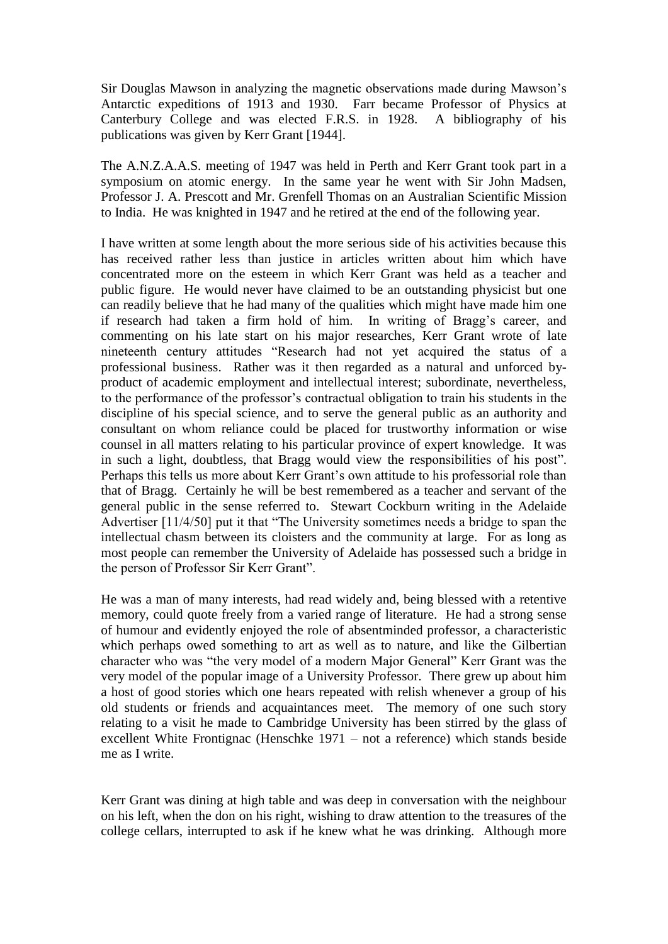Sir Douglas Mawson in analyzing the magnetic observations made during Mawson"s Antarctic expeditions of 1913 and 1930. Farr became Professor of Physics at Canterbury College and was elected F.R.S. in 1928. A bibliography of his publications was given by Kerr Grant [1944].

The A.N.Z.A.A.S. meeting of 1947 was held in Perth and Kerr Grant took part in a symposium on atomic energy. In the same year he went with Sir John Madsen, Professor J. A. Prescott and Mr. Grenfell Thomas on an Australian Scientific Mission to India. He was knighted in 1947 and he retired at the end of the following year.

I have written at some length about the more serious side of his activities because this has received rather less than justice in articles written about him which have concentrated more on the esteem in which Kerr Grant was held as a teacher and public figure. He would never have claimed to be an outstanding physicist but one can readily believe that he had many of the qualities which might have made him one if research had taken a firm hold of him. In writing of Bragg"s career, and commenting on his late start on his major researches, Kerr Grant wrote of late nineteenth century attitudes "Research had not yet acquired the status of a professional business. Rather was it then regarded as a natural and unforced byproduct of academic employment and intellectual interest; subordinate, nevertheless, to the performance of the professor"s contractual obligation to train his students in the discipline of his special science, and to serve the general public as an authority and consultant on whom reliance could be placed for trustworthy information or wise counsel in all matters relating to his particular province of expert knowledge. It was in such a light, doubtless, that Bragg would view the responsibilities of his post". Perhaps this tells us more about Kerr Grant's own attitude to his professorial role than that of Bragg. Certainly he will be best remembered as a teacher and servant of the general public in the sense referred to. Stewart Cockburn writing in the Adelaide Advertiser [11/4/50] put it that "The University sometimes needs a bridge to span the intellectual chasm between its cloisters and the community at large. For as long as most people can remember the University of Adelaide has possessed such a bridge in the person of Professor Sir Kerr Grant".

He was a man of many interests, had read widely and, being blessed with a retentive memory, could quote freely from a varied range of literature. He had a strong sense of humour and evidently enjoyed the role of absentminded professor, a characteristic which perhaps owed something to art as well as to nature, and like the Gilbertian character who was "the very model of a modern Major General" Kerr Grant was the very model of the popular image of a University Professor. There grew up about him a host of good stories which one hears repeated with relish whenever a group of his old students or friends and acquaintances meet. The memory of one such story relating to a visit he made to Cambridge University has been stirred by the glass of excellent White Frontignac (Henschke 1971 – not a reference) which stands beside me as I write.

Kerr Grant was dining at high table and was deep in conversation with the neighbour on his left, when the don on his right, wishing to draw attention to the treasures of the college cellars, interrupted to ask if he knew what he was drinking. Although more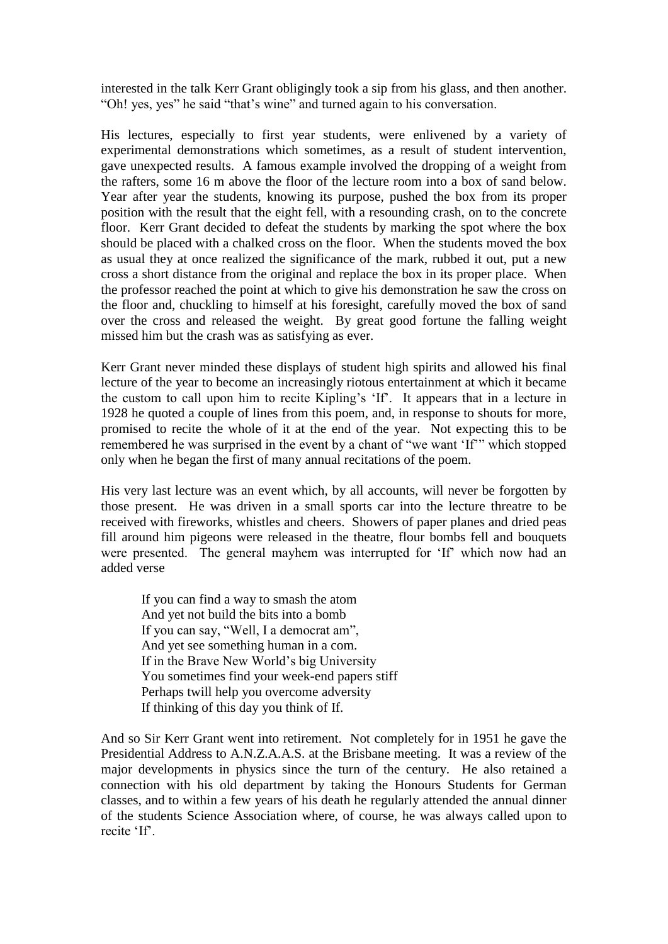interested in the talk Kerr Grant obligingly took a sip from his glass, and then another. "Oh! yes, yes" he said "that"s wine" and turned again to his conversation.

His lectures, especially to first year students, were enlivened by a variety of experimental demonstrations which sometimes, as a result of student intervention, gave unexpected results. A famous example involved the dropping of a weight from the rafters, some 16 m above the floor of the lecture room into a box of sand below. Year after year the students, knowing its purpose, pushed the box from its proper position with the result that the eight fell, with a resounding crash, on to the concrete floor. Kerr Grant decided to defeat the students by marking the spot where the box should be placed with a chalked cross on the floor. When the students moved the box as usual they at once realized the significance of the mark, rubbed it out, put a new cross a short distance from the original and replace the box in its proper place. When the professor reached the point at which to give his demonstration he saw the cross on the floor and, chuckling to himself at his foresight, carefully moved the box of sand over the cross and released the weight. By great good fortune the falling weight missed him but the crash was as satisfying as ever.

Kerr Grant never minded these displays of student high spirits and allowed his final lecture of the year to become an increasingly riotous entertainment at which it became the custom to call upon him to recite Kipling"s "If". It appears that in a lecture in 1928 he quoted a couple of lines from this poem, and, in response to shouts for more, promised to recite the whole of it at the end of the year. Not expecting this to be remembered he was surprised in the event by a chant of "we want "If"" which stopped only when he began the first of many annual recitations of the poem.

His very last lecture was an event which, by all accounts, will never be forgotten by those present. He was driven in a small sports car into the lecture threatre to be received with fireworks, whistles and cheers. Showers of paper planes and dried peas fill around him pigeons were released in the theatre, flour bombs fell and bouquets were presented. The general mayhem was interrupted for 'If' which now had an added verse

If you can find a way to smash the atom And yet not build the bits into a bomb If you can say, "Well, I a democrat am", And yet see something human in a com. If in the Brave New World"s big University You sometimes find your week-end papers stiff Perhaps twill help you overcome adversity If thinking of this day you think of If.

And so Sir Kerr Grant went into retirement. Not completely for in 1951 he gave the Presidential Address to A.N.Z.A.A.S. at the Brisbane meeting. It was a review of the major developments in physics since the turn of the century. He also retained a connection with his old department by taking the Honours Students for German classes, and to within a few years of his death he regularly attended the annual dinner of the students Science Association where, of course, he was always called upon to recite "If".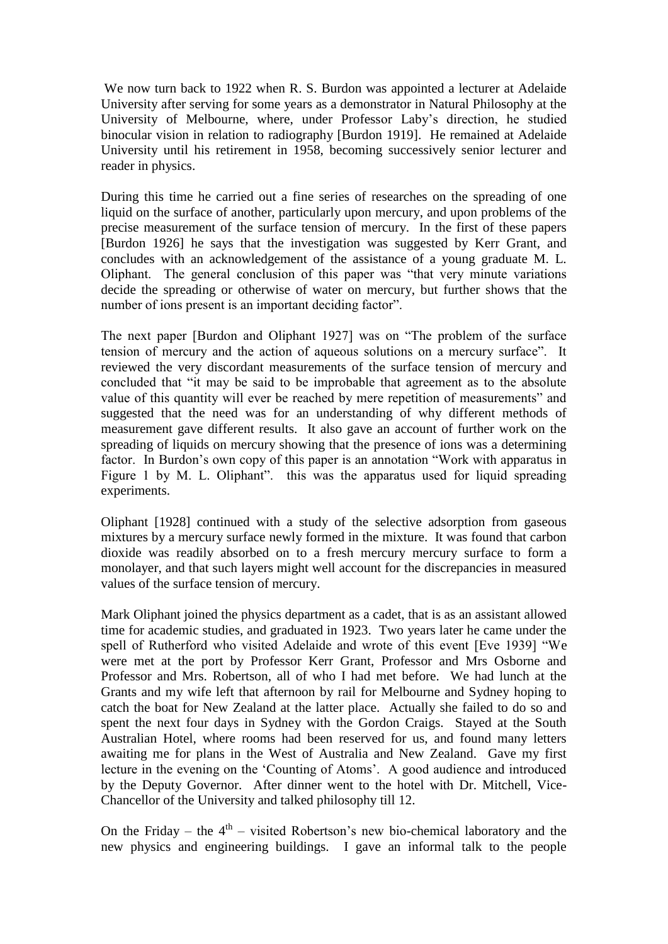We now turn back to 1922 when R. S. Burdon was appointed a lecturer at Adelaide University after serving for some years as a demonstrator in Natural Philosophy at the University of Melbourne, where, under Professor Laby"s direction, he studied binocular vision in relation to radiography [Burdon 1919]. He remained at Adelaide University until his retirement in 1958, becoming successively senior lecturer and reader in physics.

During this time he carried out a fine series of researches on the spreading of one liquid on the surface of another, particularly upon mercury, and upon problems of the precise measurement of the surface tension of mercury. In the first of these papers [Burdon 1926] he says that the investigation was suggested by Kerr Grant, and concludes with an acknowledgement of the assistance of a young graduate M. L. Oliphant. The general conclusion of this paper was "that very minute variations decide the spreading or otherwise of water on mercury, but further shows that the number of ions present is an important deciding factor".

The next paper [Burdon and Oliphant 1927] was on "The problem of the surface tension of mercury and the action of aqueous solutions on a mercury surface". It reviewed the very discordant measurements of the surface tension of mercury and concluded that "it may be said to be improbable that agreement as to the absolute value of this quantity will ever be reached by mere repetition of measurements" and suggested that the need was for an understanding of why different methods of measurement gave different results. It also gave an account of further work on the spreading of liquids on mercury showing that the presence of ions was a determining factor. In Burdon"s own copy of this paper is an annotation "Work with apparatus in Figure 1 by M. L. Oliphant". this was the apparatus used for liquid spreading experiments.

Oliphant [1928] continued with a study of the selective adsorption from gaseous mixtures by a mercury surface newly formed in the mixture. It was found that carbon dioxide was readily absorbed on to a fresh mercury mercury surface to form a monolayer, and that such layers might well account for the discrepancies in measured values of the surface tension of mercury.

Mark Oliphant joined the physics department as a cadet, that is as an assistant allowed time for academic studies, and graduated in 1923. Two years later he came under the spell of Rutherford who visited Adelaide and wrote of this event [Eve 1939] "We were met at the port by Professor Kerr Grant, Professor and Mrs Osborne and Professor and Mrs. Robertson, all of who I had met before. We had lunch at the Grants and my wife left that afternoon by rail for Melbourne and Sydney hoping to catch the boat for New Zealand at the latter place. Actually she failed to do so and spent the next four days in Sydney with the Gordon Craigs. Stayed at the South Australian Hotel, where rooms had been reserved for us, and found many letters awaiting me for plans in the West of Australia and New Zealand. Gave my first lecture in the evening on the 'Counting of Atoms'. A good audience and introduced by the Deputy Governor. After dinner went to the hotel with Dr. Mitchell, Vice-Chancellor of the University and talked philosophy till 12.

On the Friday – the  $4<sup>th</sup>$  – visited Robertson's new bio-chemical laboratory and the new physics and engineering buildings. I gave an informal talk to the people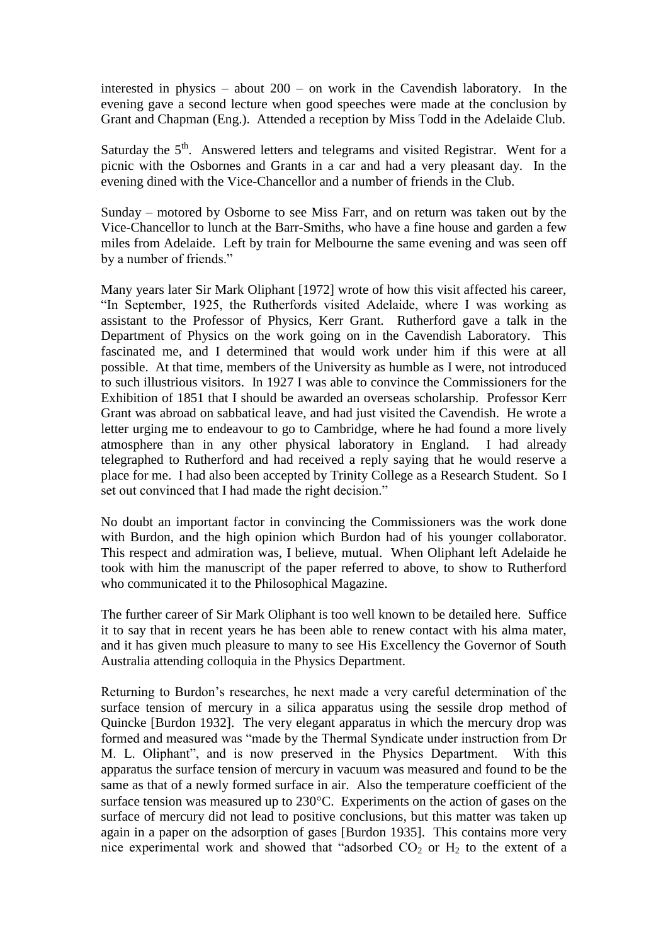interested in physics – about 200 – on work in the Cavendish laboratory. In the evening gave a second lecture when good speeches were made at the conclusion by Grant and Chapman (Eng.). Attended a reception by Miss Todd in the Adelaide Club.

Saturday the  $5<sup>th</sup>$ . Answered letters and telegrams and visited Registrar. Went for a picnic with the Osbornes and Grants in a car and had a very pleasant day. In the evening dined with the Vice-Chancellor and a number of friends in the Club.

Sunday – motored by Osborne to see Miss Farr, and on return was taken out by the Vice-Chancellor to lunch at the Barr-Smiths, who have a fine house and garden a few miles from Adelaide. Left by train for Melbourne the same evening and was seen off by a number of friends."

Many years later Sir Mark Oliphant [1972] wrote of how this visit affected his career, "In September, 1925, the Rutherfords visited Adelaide, where I was working as assistant to the Professor of Physics, Kerr Grant. Rutherford gave a talk in the Department of Physics on the work going on in the Cavendish Laboratory. This fascinated me, and I determined that would work under him if this were at all possible. At that time, members of the University as humble as I were, not introduced to such illustrious visitors. In 1927 I was able to convince the Commissioners for the Exhibition of 1851 that I should be awarded an overseas scholarship. Professor Kerr Grant was abroad on sabbatical leave, and had just visited the Cavendish. He wrote a letter urging me to endeavour to go to Cambridge, where he had found a more lively atmosphere than in any other physical laboratory in England. I had already telegraphed to Rutherford and had received a reply saying that he would reserve a place for me. I had also been accepted by Trinity College as a Research Student. So I set out convinced that I had made the right decision."

No doubt an important factor in convincing the Commissioners was the work done with Burdon, and the high opinion which Burdon had of his younger collaborator. This respect and admiration was, I believe, mutual. When Oliphant left Adelaide he took with him the manuscript of the paper referred to above, to show to Rutherford who communicated it to the Philosophical Magazine.

The further career of Sir Mark Oliphant is too well known to be detailed here. Suffice it to say that in recent years he has been able to renew contact with his alma mater, and it has given much pleasure to many to see His Excellency the Governor of South Australia attending colloquia in the Physics Department.

Returning to Burdon"s researches, he next made a very careful determination of the surface tension of mercury in a silica apparatus using the sessile drop method of Quincke [Burdon 1932]. The very elegant apparatus in which the mercury drop was formed and measured was "made by the Thermal Syndicate under instruction from Dr M. L. Oliphant", and is now preserved in the Physics Department. With this apparatus the surface tension of mercury in vacuum was measured and found to be the same as that of a newly formed surface in air. Also the temperature coefficient of the surface tension was measured up to  $230^{\circ}$ C. Experiments on the action of gases on the surface of mercury did not lead to positive conclusions, but this matter was taken up again in a paper on the adsorption of gases [Burdon 1935]. This contains more very nice experimental work and showed that "adsorbed  $CO<sub>2</sub>$  or  $H<sub>2</sub>$  to the extent of a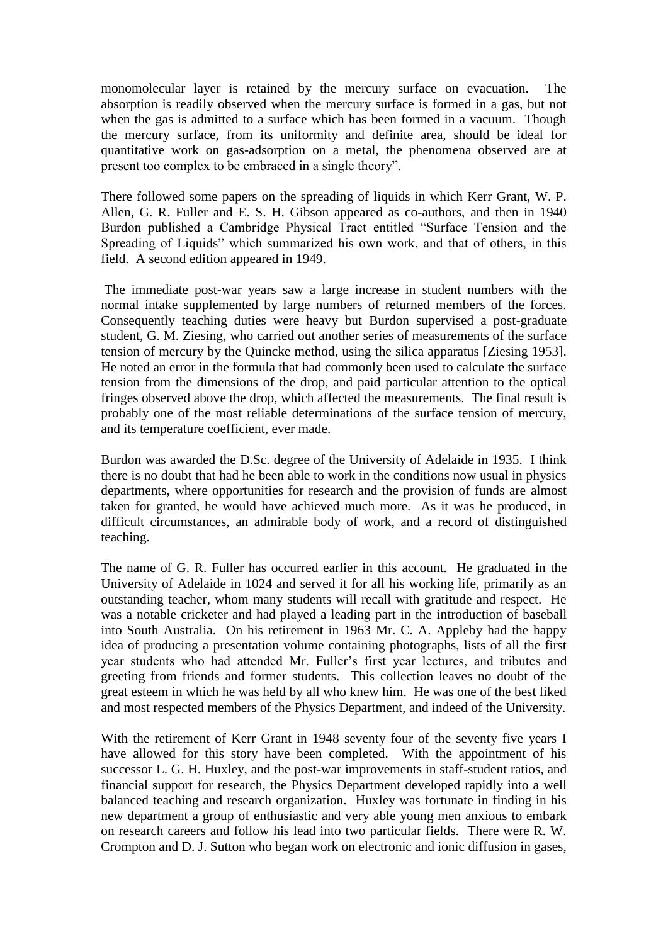monomolecular layer is retained by the mercury surface on evacuation. The absorption is readily observed when the mercury surface is formed in a gas, but not when the gas is admitted to a surface which has been formed in a vacuum. Though the mercury surface, from its uniformity and definite area, should be ideal for quantitative work on gas-adsorption on a metal, the phenomena observed are at present too complex to be embraced in a single theory".

There followed some papers on the spreading of liquids in which Kerr Grant, W. P. Allen, G. R. Fuller and E. S. H. Gibson appeared as co-authors, and then in 1940 Burdon published a Cambridge Physical Tract entitled "Surface Tension and the Spreading of Liquids" which summarized his own work, and that of others, in this field. A second edition appeared in 1949.

The immediate post-war years saw a large increase in student numbers with the normal intake supplemented by large numbers of returned members of the forces. Consequently teaching duties were heavy but Burdon supervised a post-graduate student, G. M. Ziesing, who carried out another series of measurements of the surface tension of mercury by the Quincke method, using the silica apparatus [Ziesing 1953]. He noted an error in the formula that had commonly been used to calculate the surface tension from the dimensions of the drop, and paid particular attention to the optical fringes observed above the drop, which affected the measurements. The final result is probably one of the most reliable determinations of the surface tension of mercury, and its temperature coefficient, ever made.

Burdon was awarded the D.Sc. degree of the University of Adelaide in 1935. I think there is no doubt that had he been able to work in the conditions now usual in physics departments, where opportunities for research and the provision of funds are almost taken for granted, he would have achieved much more. As it was he produced, in difficult circumstances, an admirable body of work, and a record of distinguished teaching.

The name of G. R. Fuller has occurred earlier in this account. He graduated in the University of Adelaide in 1024 and served it for all his working life, primarily as an outstanding teacher, whom many students will recall with gratitude and respect. He was a notable cricketer and had played a leading part in the introduction of baseball into South Australia. On his retirement in 1963 Mr. C. A. Appleby had the happy idea of producing a presentation volume containing photographs, lists of all the first year students who had attended Mr. Fuller"s first year lectures, and tributes and greeting from friends and former students. This collection leaves no doubt of the great esteem in which he was held by all who knew him. He was one of the best liked and most respected members of the Physics Department, and indeed of the University.

With the retirement of Kerr Grant in 1948 seventy four of the seventy five years I have allowed for this story have been completed. With the appointment of his successor L. G. H. Huxley, and the post-war improvements in staff-student ratios, and financial support for research, the Physics Department developed rapidly into a well balanced teaching and research organization. Huxley was fortunate in finding in his new department a group of enthusiastic and very able young men anxious to embark on research careers and follow his lead into two particular fields. There were R. W. Crompton and D. J. Sutton who began work on electronic and ionic diffusion in gases,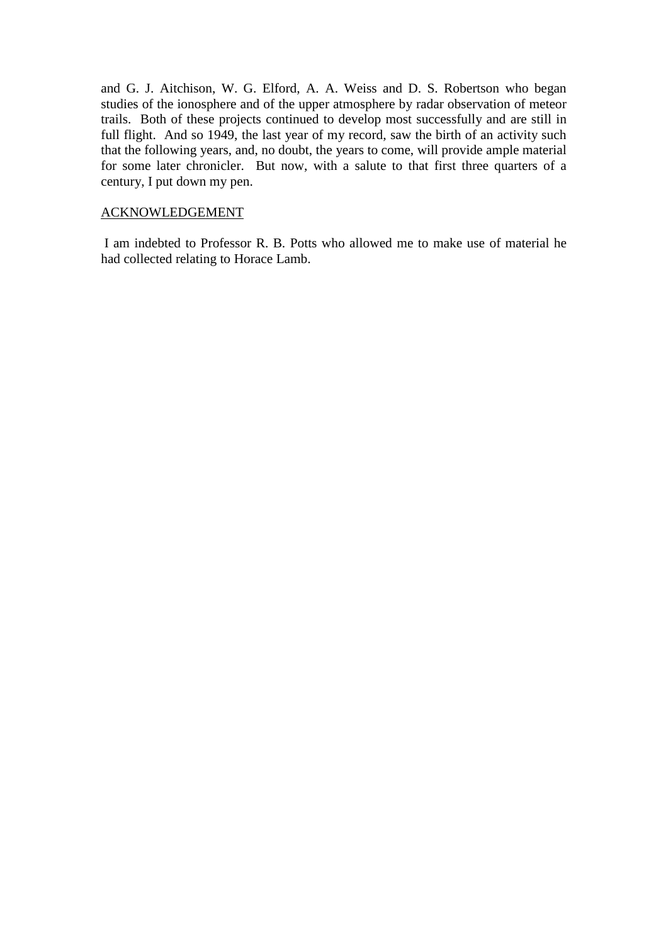and G. J. Aitchison, W. G. Elford, A. A. Weiss and D. S. Robertson who began studies of the ionosphere and of the upper atmosphere by radar observation of meteor trails. Both of these projects continued to develop most successfully and are still in full flight. And so 1949, the last year of my record, saw the birth of an activity such that the following years, and, no doubt, the years to come, will provide ample material for some later chronicler. But now, with a salute to that first three quarters of a century, I put down my pen.

#### ACKNOWLEDGEMENT

I am indebted to Professor R. B. Potts who allowed me to make use of material he had collected relating to Horace Lamb.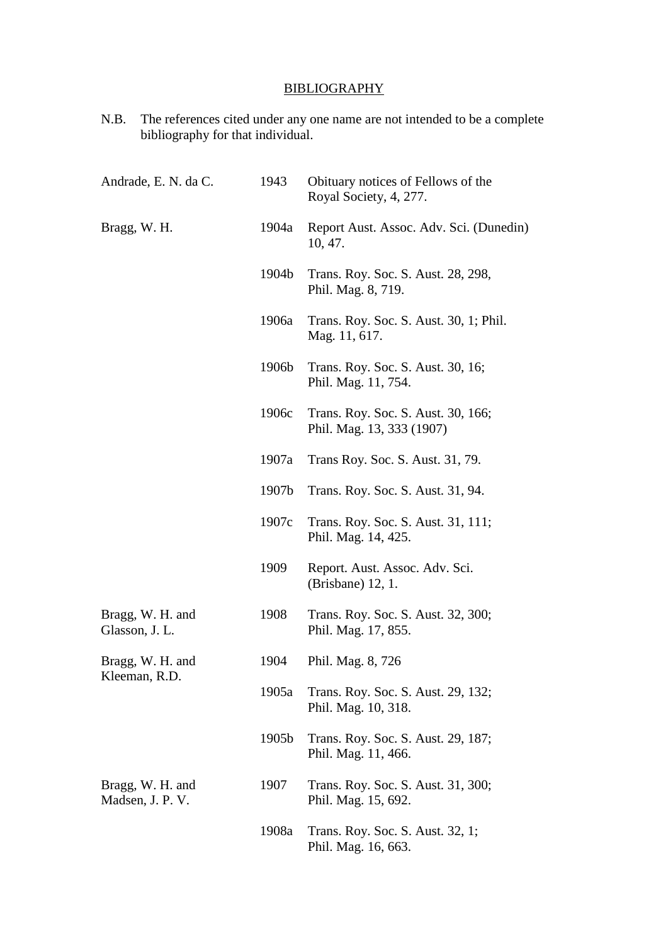# **BIBLIOGRAPHY**

N.B. The references cited under any one name are not intended to be a complete bibliography for that individual.

| Andrade, E. N. da C.                 | 1943  | Obituary notices of Fellows of the<br>Royal Society, 4, 277.    |
|--------------------------------------|-------|-----------------------------------------------------------------|
| Bragg, W. H.                         | 1904a | Report Aust. Assoc. Adv. Sci. (Dunedin)<br>10, 47.              |
|                                      | 1904b | Trans. Roy. Soc. S. Aust. 28, 298,<br>Phil. Mag. 8, 719.        |
|                                      | 1906a | Trans. Roy. Soc. S. Aust. 30, 1; Phil.<br>Mag. 11, 617.         |
|                                      | 1906b | Trans. Roy. Soc. S. Aust. 30, 16;<br>Phil. Mag. 11, 754.        |
|                                      | 1906c | Trans. Roy. Soc. S. Aust. 30, 166;<br>Phil. Mag. 13, 333 (1907) |
|                                      | 1907a | Trans Roy. Soc. S. Aust. 31, 79.                                |
|                                      | 1907b | Trans. Roy. Soc. S. Aust. 31, 94.                               |
|                                      | 1907c | Trans. Roy. Soc. S. Aust. 31, 111;<br>Phil. Mag. 14, 425.       |
|                                      | 1909  | Report. Aust. Assoc. Adv. Sci.<br>(Brisbane) 12, 1.             |
| Bragg, W. H. and<br>Glasson, J. L.   | 1908  | Trans. Roy. Soc. S. Aust. 32, 300;<br>Phil. Mag. 17, 855.       |
| Bragg, W. H. and                     | 1904  | Phil. Mag. 8, 726                                               |
| Kleeman, R.D.                        | 1905a | Trans. Roy. Soc. S. Aust. 29, 132;<br>Phil. Mag. 10, 318.       |
|                                      | 1905b | Trans. Roy. Soc. S. Aust. 29, 187;<br>Phil. Mag. 11, 466.       |
| Bragg, W. H. and<br>Madsen, J. P. V. | 1907  | Trans. Roy. Soc. S. Aust. 31, 300;<br>Phil. Mag. 15, 692.       |
|                                      | 1908a | Trans. Roy. Soc. S. Aust. 32, 1;<br>Phil. Mag. 16, 663.         |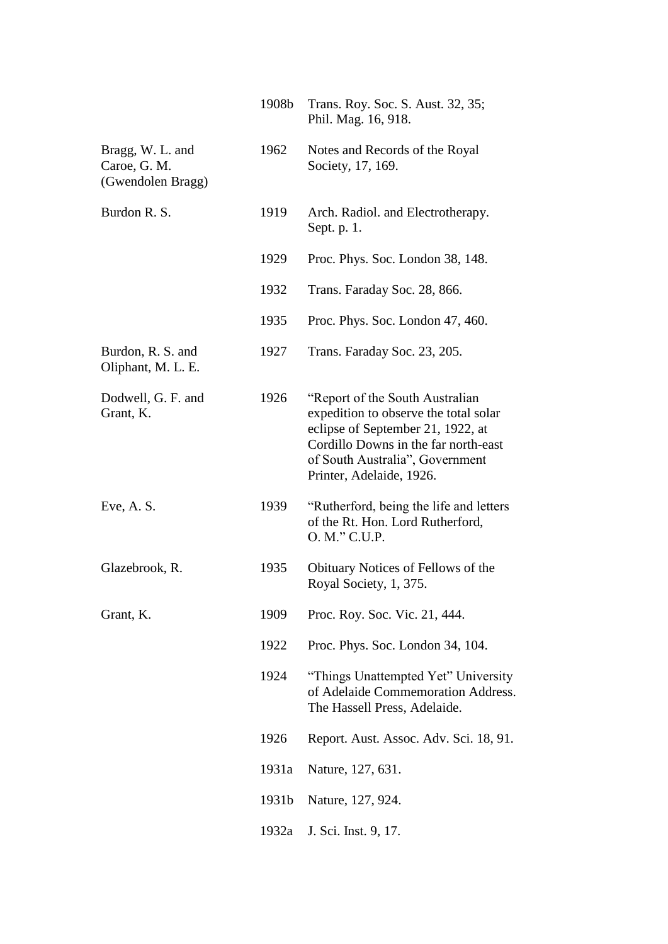|                                                       | 1908b | Trans. Roy. Soc. S. Aust. 32, 35;<br>Phil. Mag. 16, 918.                                                                                                                                                              |
|-------------------------------------------------------|-------|-----------------------------------------------------------------------------------------------------------------------------------------------------------------------------------------------------------------------|
| Bragg, W. L. and<br>Caroe, G. M.<br>(Gwendolen Bragg) | 1962  | Notes and Records of the Royal<br>Society, 17, 169.                                                                                                                                                                   |
| Burdon R. S.                                          | 1919  | Arch. Radiol. and Electrotherapy.<br>Sept. p. 1.                                                                                                                                                                      |
|                                                       | 1929  | Proc. Phys. Soc. London 38, 148.                                                                                                                                                                                      |
|                                                       | 1932  | Trans. Faraday Soc. 28, 866.                                                                                                                                                                                          |
|                                                       | 1935  | Proc. Phys. Soc. London 47, 460.                                                                                                                                                                                      |
| Burdon, R. S. and<br>Oliphant, M. L. E.               | 1927  | Trans. Faraday Soc. 23, 205.                                                                                                                                                                                          |
| Dodwell, G. F. and<br>Grant, K.                       | 1926  | "Report of the South Australian"<br>expedition to observe the total solar<br>eclipse of September 21, 1922, at<br>Cordillo Downs in the far north-east<br>of South Australia", Government<br>Printer, Adelaide, 1926. |
| Eve, A. S.                                            | 1939  | "Rutherford, being the life and letters<br>of the Rt. Hon. Lord Rutherford,<br>O. M." C.U.P.                                                                                                                          |
| Glazebrook, R.                                        | 1935  | Obituary Notices of Fellows of the<br>Royal Society, 1, 375.                                                                                                                                                          |
| Grant, K.                                             | 1909  | Proc. Roy. Soc. Vic. 21, 444.                                                                                                                                                                                         |
|                                                       | 1922  | Proc. Phys. Soc. London 34, 104.                                                                                                                                                                                      |
|                                                       | 1924  | "Things Unattempted Yet" University<br>of Adelaide Commemoration Address.<br>The Hassell Press, Adelaide.                                                                                                             |
|                                                       | 1926  | Report. Aust. Assoc. Adv. Sci. 18, 91.                                                                                                                                                                                |
|                                                       | 1931a | Nature, 127, 631.                                                                                                                                                                                                     |
|                                                       | 1931b | Nature, 127, 924.                                                                                                                                                                                                     |
|                                                       | 1932a | J. Sci. Inst. 9, 17.                                                                                                                                                                                                  |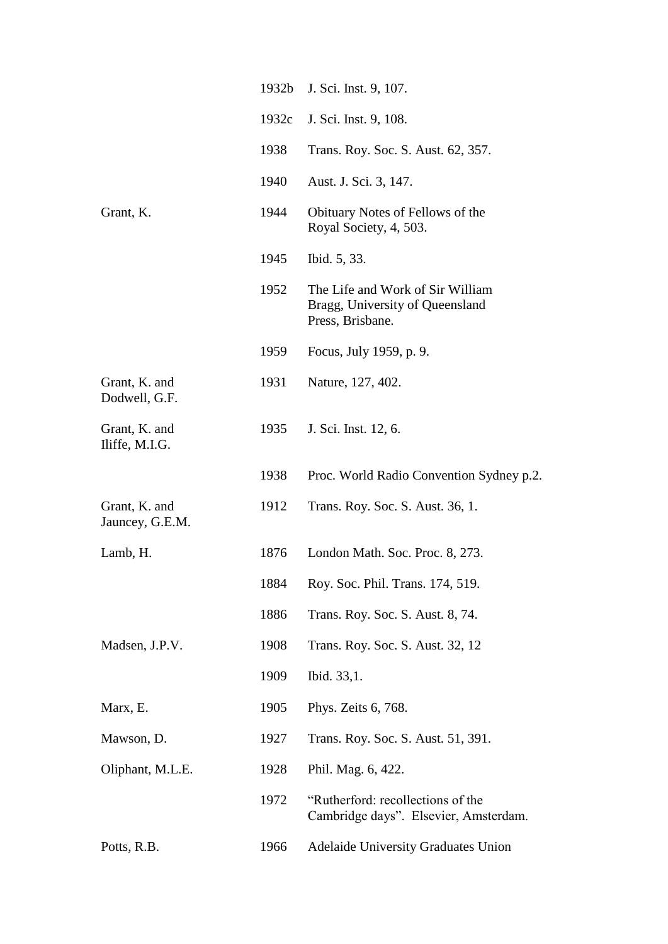|                                  | 1932b | J. Sci. Inst. 9, 107.                                                                   |
|----------------------------------|-------|-----------------------------------------------------------------------------------------|
|                                  | 1932c | J. Sci. Inst. 9, 108.                                                                   |
|                                  | 1938  | Trans. Roy. Soc. S. Aust. 62, 357.                                                      |
|                                  | 1940  | Aust. J. Sci. 3, 147.                                                                   |
| Grant, K.                        | 1944  | Obituary Notes of Fellows of the<br>Royal Society, 4, 503.                              |
|                                  | 1945  | Ibid. 5, 33.                                                                            |
|                                  | 1952  | The Life and Work of Sir William<br>Bragg, University of Queensland<br>Press, Brisbane. |
|                                  | 1959  | Focus, July 1959, p. 9.                                                                 |
| Grant, K. and<br>Dodwell, G.F.   | 1931  | Nature, 127, 402.                                                                       |
| Grant, K. and<br>Iliffe, M.I.G.  | 1935  | J. Sci. Inst. 12, 6.                                                                    |
|                                  | 1938  | Proc. World Radio Convention Sydney p.2.                                                |
| Grant, K. and<br>Jauncey, G.E.M. | 1912  | Trans. Roy. Soc. S. Aust. 36, 1.                                                        |
| Lamb, H.                         | 1876  | London Math. Soc. Proc. 8, 273.                                                         |
|                                  | 1884  | Roy. Soc. Phil. Trans. 174, 519.                                                        |
|                                  | 1886  | Trans. Roy. Soc. S. Aust. 8, 74.                                                        |
| Madsen, J.P.V.                   | 1908  | Trans. Roy. Soc. S. Aust. 32, 12                                                        |
|                                  | 1909  | Ibid. 33,1.                                                                             |
| Marx, E.                         | 1905  | Phys. Zeits 6, 768.                                                                     |
| Mawson, D.                       | 1927  | Trans. Roy. Soc. S. Aust. 51, 391.                                                      |
| Oliphant, M.L.E.                 | 1928  | Phil. Mag. 6, 422.                                                                      |
|                                  | 1972  | "Rutherford: recollections of the<br>Cambridge days". Elsevier, Amsterdam.              |
| Potts, R.B.                      | 1966  | <b>Adelaide University Graduates Union</b>                                              |